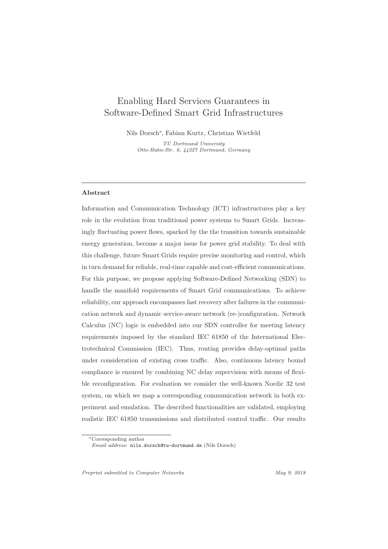# Enabling Hard Services Guarantees in Software-Defined Smart Grid Infrastructures

Nils Dorsch∗ , Fabian Kurtz, Christian Wietfeld

TU Dortmund University Otto-Hahn-Str. 6, 44227 Dortmund, Germany

## **Abstract**

Information and Communication Technology (ICT) infrastructures play a key role in the evolution from traditional power systems to Smart Grids. Increasingly fluctuating power flows, sparked by the the transition towards sustainable energy generation, become a major issue for power grid stability. To deal with this challenge, future Smart Grids require precise monitoring and control, which in turn demand for reliable, real-time capable and cost-efficient communications. For this purpose, we propose applying Software-Defined Networking (SDN) to handle the manifold requirements of Smart Grid communications. To achieve reliability, our approach encompasses fast recovery after failures in the communication network and dynamic service-aware network (re-)configuration. Network Calculus (NC) logic is embedded into our SDN controller for meeting latency requirements imposed by the standard IEC 61850 of the International Electrotechnical Commission (IEC). Thus, routing provides delay-optimal paths under consideration of existing cross traffic. Also, continuous latency bound compliance is ensured by combining NC delay supervision with means of flexible reconfiguration. For evaluation we consider the well-known Nordic 32 test system, on which we map a corresponding communication network in both experiment and emulation. The described functionalities are validated, employing realistic IEC 61850 transmissions and distributed control traffic. Our results

<sup>∗</sup>Corresponding author

Email address: nils.dorsch@tu-dortmund.de (Nils Dorsch)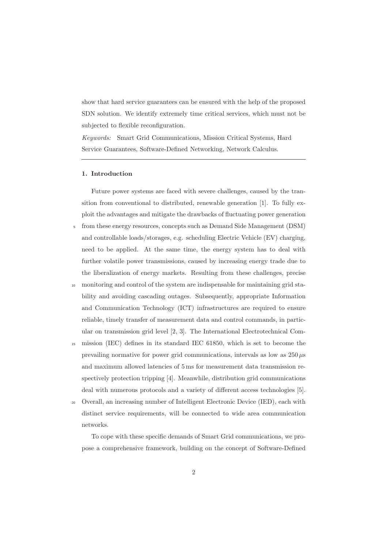show that hard service guarantees can be ensured with the help of the proposed SDN solution. We identify extremely time critical services, which must not be subjected to flexible reconfiguration.

Keywords: Smart Grid Communications, Mission Critical Systems, Hard Service Guarantees, Software-Defined Networking, Network Calculus.

#### **1. Introduction**

Future power systems are faced with severe challenges, caused by the transition from conventional to distributed, renewable generation [1]. To fully exploit the advantages and mitigate the drawbacks of fluctuating power generation

- <sup>5</sup> from these energy resources, concepts such as Demand Side Management (DSM) and controllable loads/storages, e.g. scheduling Electric Vehicle (EV) charging, need to be applied. At the same time, the energy system has to deal with further volatile power transmissions, caused by increasing energy trade due to the liberalization of energy markets. Resulting from these challenges, precise
- monitoring and control of the system are indispensable for maintaining grid stability and avoiding cascading outages. Subsequently, appropriate Information and Communication Technology (ICT) infrastructures are required to ensure reliable, timely transfer of measurement data and control commands, in particular on transmission grid level [2, 3]. The International Electrotechnical Com-
- <sup>15</sup> mission (IEC) defines in its standard IEC 61850, which is set to become the prevailing normative for power grid communications, intervals as low as  $250 \mu s$ and maximum allowed latencies of 5 ms for measurement data transmission respectively protection tripping [4]. Meanwhile, distribution grid communications deal with numerous protocols and a variety of different access technologies [5].
- <sup>20</sup> Overall, an increasing number of Intelligent Electronic Device (IED), each with distinct service requirements, will be connected to wide area communication networks.

To cope with these specific demands of Smart Grid communications, we propose a comprehensive framework, building on the concept of Software-Defined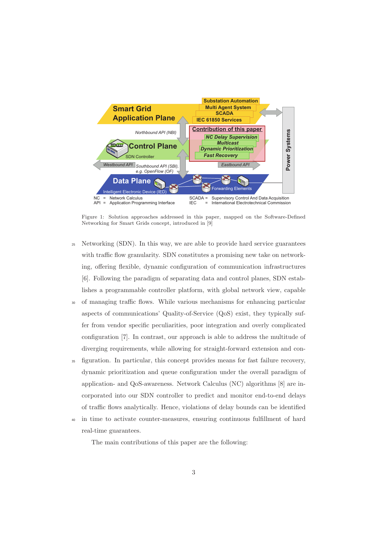

Figure 1: Solution approaches addressed in this paper, mapped on the Software-Defined Networking for Smart Grids concept, introduced in [9]

- <sup>25</sup> Networking (SDN). In this way, we are able to provide hard service guarantees with traffic flow granularity. SDN constitutes a promising new take on networking, offering flexible, dynamic configuration of communication infrastructures [6]. Following the paradigm of separating data and control planes, SDN establishes a programmable controller platform, with global network view, capable
- <sup>30</sup> of managing traffic flows. While various mechanisms for enhancing particular aspects of communications' Quality-of-Service (QoS) exist, they typically suffer from vendor specific peculiarities, poor integration and overly complicated configuration [7]. In contrast, our approach is able to address the multitude of diverging requirements, while allowing for straight-forward extension and con-
- <sup>35</sup> figuration. In particular, this concept provides means for fast failure recovery, dynamic prioritization and queue configuration under the overall paradigm of application- and QoS-awareness. Network Calculus (NC) algorithms [8] are incorporated into our SDN controller to predict and monitor end-to-end delays of traffic flows analytically. Hence, violations of delay bounds can be identified
- <sup>40</sup> in time to activate counter-measures, ensuring continuous fulfillment of hard real-time guarantees.

The main contributions of this paper are the following: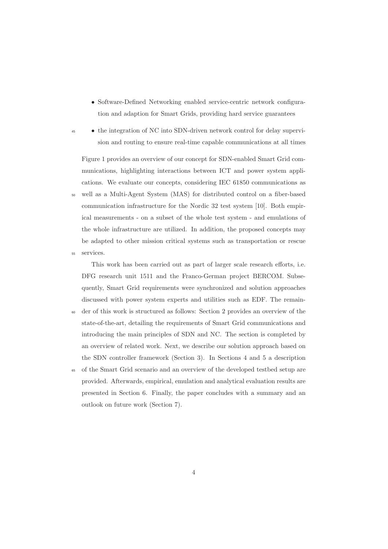- Software-Defined Networking enabled service-centric network configuration and adaption for Smart Grids, providing hard service guarantees
- <sup>45</sup> the integration of NC into SDN-driven network control for delay supervision and routing to ensure real-time capable communications at all times

Figure 1 provides an overview of our concept for SDN-enabled Smart Grid communications, highlighting interactions between ICT and power system applications. We evaluate our concepts, considering IEC 61850 communications as <sup>50</sup> well as a Multi-Agent System (MAS) for distributed control on a fiber-based communication infrastructure for the Nordic 32 test system [10]. Both empirical measurements - on a subset of the whole test system - and emulations of the whole infrastructure are utilized. In addition, the proposed concepts may be adapted to other mission critical systems such as transportation or rescue <sup>55</sup> services.

This work has been carried out as part of larger scale research efforts, i.e. DFG research unit 1511 and the Franco-German project BERCOM. Subsequently, Smart Grid requirements were synchronized and solution approaches discussed with power system experts and utilities such as EDF. The remain-

- <sup>60</sup> der of this work is structured as follows: Section 2 provides an overview of the state-of-the-art, detailing the requirements of Smart Grid communications and introducing the main principles of SDN and NC. The section is completed by an overview of related work. Next, we describe our solution approach based on the SDN controller framework (Section 3). In Sections 4 and 5 a description
- <sup>65</sup> of the Smart Grid scenario and an overview of the developed testbed setup are provided. Afterwards, empirical, emulation and analytical evaluation results are presented in Section 6. Finally, the paper concludes with a summary and an outlook on future work (Section 7).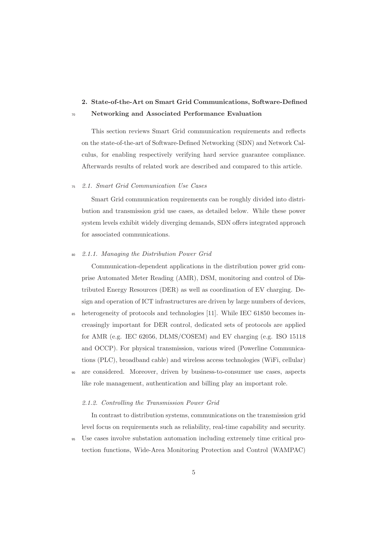# **2. State-of-the-Art on Smart Grid Communications, Software-Defined** <sup>70</sup> **Networking and Associated Performance Evaluation**

This section reviews Smart Grid communication requirements and reflects on the state-of-the-art of Software-Defined Networking (SDN) and Network Calculus, for enabling respectively verifying hard service guarantee compliance. Afterwards results of related work are described and compared to this article.

## <sup>75</sup> 2.1. Smart Grid Communication Use Cases

Smart Grid communication requirements can be roughly divided into distribution and transmission grid use cases, as detailed below. While these power system levels exhibit widely diverging demands, SDN offers integrated approach for associated communications.

## 2.1.1. Managing the Distribution Power Grid

Communication-dependent applications in the distribution power grid comprise Automated Meter Reading (AMR), DSM, monitoring and control of Distributed Energy Resources (DER) as well as coordination of EV charging. Design and operation of ICT infrastructures are driven by large numbers of devices,

- <sup>85</sup> heterogeneity of protocols and technologies [11]. While IEC 61850 becomes increasingly important for DER control, dedicated sets of protocols are applied for AMR (e.g. IEC 62056, DLMS/COSEM) and EV charging (e.g. ISO 15118 and OCCP). For physical transmission, various wired (Powerline Communications (PLC), broadband cable) and wireless access technologies (WiFi, cellular)
- are considered. Moreover, driven by business-to-consumer use cases, aspects like role management, authentication and billing play an important role.

# 2.1.2. Controlling the Transmission Power Grid

In contrast to distribution systems, communications on the transmission grid level focus on requirements such as reliability, real-time capability and security. <sup>95</sup> Use cases involve substation automation including extremely time critical pro-

tection functions, Wide-Area Monitoring Protection and Control (WAMPAC)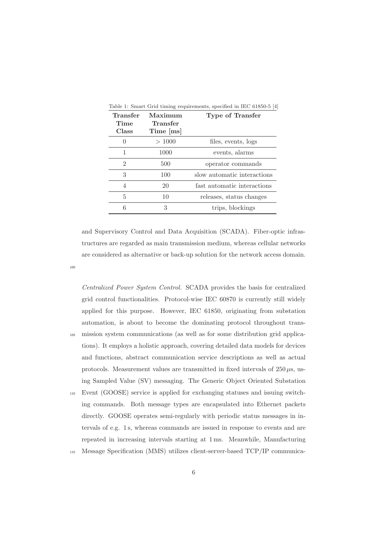| Transfer<br>Time<br>Class | Maximum<br>Transfer<br>$Time$ [ms] | Type of Transfer            |
|---------------------------|------------------------------------|-----------------------------|
|                           | >1000                              | files, events, logs         |
| 1                         | 1000                               | events, alarms              |
| 2                         | 500                                | operator commands           |
| 3                         | 100                                | slow automatic interactions |
| 4                         | 20                                 | fast automatic interactions |
| 5                         | 10                                 | releases, status changes    |
| 6                         | 3                                  | trips, blockings            |

and Supervisory Control and Data Acquisition (SCADA). Fiber-optic infrastructures are regarded as main transmission medium, whereas cellular networks are considered as alternative or back-up solution for the network access domain.

100

Centralized Power System Control. SCADA provides the basis for centralized grid control functionalities. Protocol-wise IEC 60870 is currently still widely applied for this purpose. However, IEC 61850, originating from substation automation, is about to become the dominating protocol throughout trans-<sup>105</sup> mission system communications (as well as for some distribution grid applications). It employs a holistic approach, covering detailed data models for devices and functions, abstract communication service descriptions as well as actual protocols. Measurement values are transmitted in fixed intervals of  $250 \,\mu s$ , using Sampled Value (SV) messaging. The Generic Object Oriented Substation <sup>110</sup> Event (GOOSE) service is applied for exchanging statuses and issuing switching commands. Both message types are encapsulated into Ethernet packets

directly. GOOSE operates semi-regularly with periodic status messages in intervals of e.g. 1 s, whereas commands are issued in response to events and are repeated in increasing intervals starting at 1 ms. Meanwhile, Manufacturing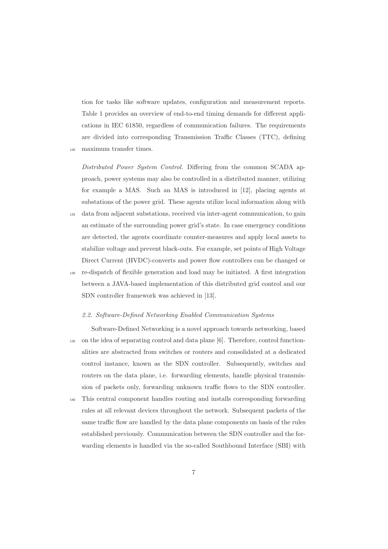tion for tasks like software updates, configuration and measurement reports. Table 1 provides an overview of end-to-end timing demands for different applications in IEC 61850, regardless of communication failures. The requirements are divided into corresponding Transmission Traffic Classes (TTC), defining

<sup>120</sup> maximum transfer times.

Distributed Power System Control. Differing from the common SCADA approach, power systems may also be controlled in a distributed manner, utilizing for example a MAS. Such an MAS is introduced in [12], placing agents at substations of the power grid. These agents utilize local information along with

- <sup>125</sup> data from adjacent substations, received via inter-agent communication, to gain an estimate of the surrounding power grid's state. In case emergency conditions are detected, the agents coordinate counter-measures and apply local assets to stabilize voltage and prevent black-outs. For example, set points of High Voltage Direct Current (HVDC)-converts and power flow controllers can be changed or
- <sup>130</sup> re-dispatch of flexible generation and load may be initiated. A first integration between a JAVA-based implementation of this distributed grid control and our SDN controller framework was achieved in [13].

## 2.2. Software-Defined Networking Enabled Communication Systems

Software-Defined Networking is a novel approach towards networking, based <sup>135</sup> on the idea of separating control and data plane [6]. Therefore, control functionalities are abstracted from switches or routers and consolidated at a dedicated control instance, known as the SDN controller. Subsequently, switches and routers on the data plane, i.e. forwarding elements, handle physical transmission of packets only, forwarding unknown traffic flows to the SDN controller.

<sup>140</sup> This central component handles routing and installs corresponding forwarding rules at all relevant devices throughout the network. Subsequent packets of the same traffic flow are handled by the data plane components on basis of the rules established previously. Communication between the SDN controller and the forwarding elements is handled via the so-called Southbound Interface (SBI) with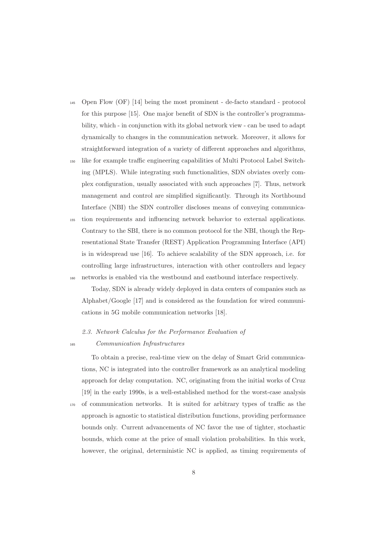- <sup>145</sup> Open Flow (OF) [14] being the most prominent de-facto standard protocol for this purpose [15]. One major benefit of SDN is the controller's programmability, which - in conjunction with its global network view - can be used to adapt dynamically to changes in the communication network. Moreover, it allows for straightforward integration of a variety of different approaches and algorithms,
- <sup>150</sup> like for example traffic engineering capabilities of Multi Protocol Label Switching (MPLS). While integrating such functionalities, SDN obviates overly complex configuration, usually associated with such approaches [7]. Thus, network management and control are simplified significantly. Through its Northbound Interface (NBI) the SDN controller discloses means of conveying communica-
- <sup>155</sup> tion requirements and influencing network behavior to external applications. Contrary to the SBI, there is no common protocol for the NBI, though the Representational State Transfer (REST) Application Programming Interface (API) is in widespread use [16]. To achieve scalability of the SDN approach, i.e. for controlling large infrastructures, interaction with other controllers and legacy <sup>160</sup> networks is enabled via the westbound and eastbound interface respectively.

Today, SDN is already widely deployed in data centers of companies such as Alphabet/Google [17] and is considered as the foundation for wired communications in 5G mobile communication networks [18].

# 2.3. Network Calculus for the Performance Evaluation of

<sup>165</sup> Communication Infrastructures

To obtain a precise, real-time view on the delay of Smart Grid communications, NC is integrated into the controller framework as an analytical modeling approach for delay computation. NC, originating from the initial works of Cruz [19] in the early 1990s, is a well-established method for the worst-case analysis <sup>170</sup> of communication networks. It is suited for arbitrary types of traffic as the approach is agnostic to statistical distribution functions, providing performance bounds only. Current advancements of NC favor the use of tighter, stochastic bounds, which come at the price of small violation probabilities. In this work, however, the original, deterministic NC is applied, as timing requirements of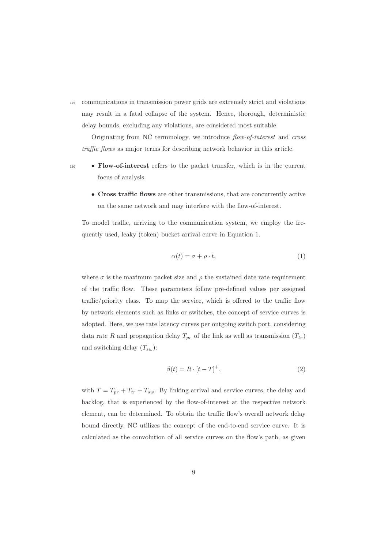<sup>175</sup> communications in transmission power grids are extremely strict and violations may result in a fatal collapse of the system. Hence, thorough, deterministic delay bounds, excluding any violations, are considered most suitable.

Originating from NC terminology, we introduce flow-of-interest and cross traffic flows as major terms for describing network behavior in this article.

- 
- <sup>180</sup> **Flow-of-interest** refers to the packet transfer, which is in the current focus of analysis.
	- **Cross traffic flows** are other transmissions, that are concurrently active on the same network and may interfere with the flow-of-interest.

To model traffic, arriving to the communication system, we employ the frequently used, leaky (token) bucket arrival curve in Equation 1.

$$
\alpha(t) = \sigma + \rho \cdot t,\tag{1}
$$

where  $\sigma$  is the maximum packet size and  $\rho$  the sustained date rate requirement of the traffic flow. These parameters follow pre-defined values per assigned traffic/priority class. To map the service, which is offered to the traffic flow by network elements such as links or switches, the concept of service curves is adopted. Here, we use rate latency curves per outgoing switch port, considering data rate R and propagation delay  $T_{pr}$  of the link as well as transmission  $(T_{tr})$ and switching delay  $(T_{sw})$ :

$$
\beta(t) = R \cdot [t - T]^+, \tag{2}
$$

with  $T = T_{pr} + T_{tr} + T_{sw}$ . By linking arrival and service curves, the delay and backlog, that is experienced by the flow-of-interest at the respective network element, can be determined. To obtain the traffic flow's overall network delay bound directly, NC utilizes the concept of the end-to-end service curve. It is calculated as the convolution of all service curves on the flow's path, as given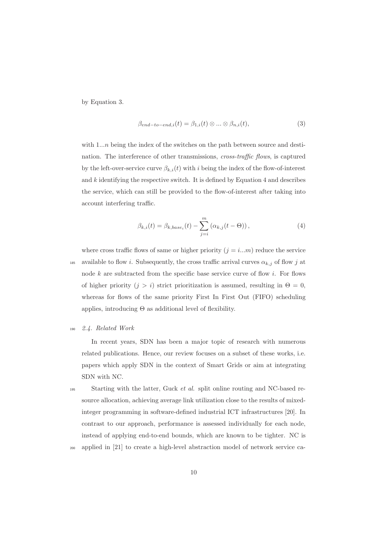by Equation 3.

$$
\beta_{end-to-end,i}(t) = \beta_{1,i}(t) \otimes \dots \otimes \beta_{n,i}(t),
$$
\n(3)

with  $1...n$  being the index of the switches on the path between source and destination. The interference of other transmissions, *cross-traffic flows*, is captured by the left-over-service curve  $\beta_{k,i}(t)$  with i being the index of the flow-of-interest and  $k$  identifying the respective switch. It is defined by Equation 4 and describes the service, which can still be provided to the flow-of-interest after taking into account interfering traffic.

$$
\beta_{k,i}(t) = \beta_{k,base_i}(t) - \sum_{j=i}^{m} (\alpha_{k,j}(t - \Theta)),
$$
\n(4)

where cross traffic flows of same or higher priority  $(j = i...m)$  reduce the service 185 available to flow i. Subsequently, the cross traffic arrival curves  $\alpha_{k,j}$  of flow j at node  $k$  are subtracted from the specific base service curve of flow  $i$ . For flows of higher priority  $(j>i)$  strict prioritization is assumed, resulting in  $\Theta = 0$ , whereas for flows of the same priority First In First Out (FIFO) scheduling applies, introducing  $\Theta$  as additional level of flexibility.

#### <sup>190</sup> 2.4. Related Work

In recent years, SDN has been a major topic of research with numerous related publications. Hence, our review focuses on a subset of these works, i.e. papers which apply SDN in the context of Smart Grids or aim at integrating SDN with NC.

195 Starting with the latter, Guck et al. split online routing and NC-based resource allocation, achieving average link utilization close to the results of mixedinteger programming in software-defined industrial ICT infrastructures [20]. In contrast to our approach, performance is assessed individually for each node, instead of applying end-to-end bounds, which are known to be tighter. NC is <sup>200</sup> applied in [21] to create a high-level abstraction model of network service ca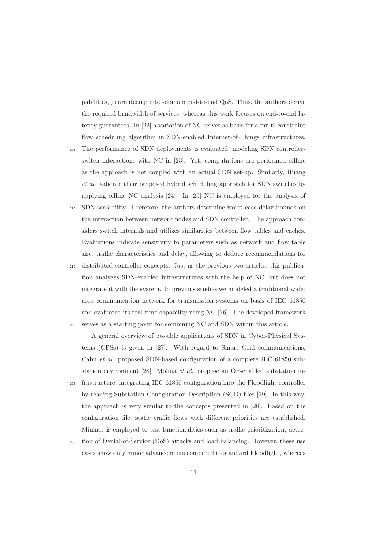pabilities, guaranteeing inter-domain end-to-end QoS. Thus, the authors derive the required bandwidth of services, whereas this work focuses on end-to-end latency guarantees. In [22] a variation of NC serves as basis for a multi-constraint flow scheduling algorithm in SDN-enabled Internet-of-Things infrastructures.

- <sup>205</sup> The performance of SDN deployments is evaluated, modeling SDN controllerswitch interactions with NC in [23]. Yet, computations are performed offline as the approach is not coupled with an actual SDN set-up. Similarly, Huang et al. validate their proposed hybrid scheduling approach for SDN switches by applying offline NC analysis [24]. In [25] NC is employed for the analysis of
- <sup>210</sup> SDN scalability. Therefore, the authors determine worst case delay bounds on the interaction between network nodes and SDN controller. The approach considers switch internals and utilizes similarities between flow tables and caches. Evaluations indicate sensitivity to parameters such as network and flow table size, traffic characteristics and delay, allowing to deduce recommendations for
- <sup>215</sup> distributed controller concepts. Just as the previous two articles, this publication analyzes SDN-enabled infrastructures with the help of NC, but does not integrate it with the system. In previous studies we modeled a traditional widearea communication network for transmission systems on basis of IEC 61850 and evaluated its real-time capability using NC [26]. The developed framework <sup>220</sup> serves as a starting point for combining NC and SDN within this article.

A general overview of possible applications of SDN in Cyber-Physical Systems (CPSs) is given in [27]. With regard to Smart Grid communications, Cahn et al. proposed SDN-based configuration of a complete IEC 61850 substation environment [28]. Molina et al. propose an OF-enabled substation in-<sup>225</sup> frastructure, integrating IEC 61850 configuration into the Floodlight controller by reading Substation Configuration Description (SCD) files [29]. In this way, the approach is very similar to the concepts presented in [28]. Based on the configuration file, static traffic flows with different priorities are established.

<sup>230</sup> tion of Denial-of-Service (DoS) attacks and load balancing. However, these use cases show only minor advancements compared to standard Floodlight, whereas

Mininet is employed to test functionalities such as traffic prioritization, detec-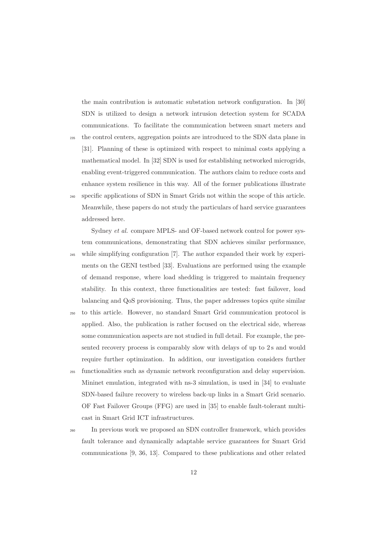the main contribution is automatic substation network configuration. In [30] SDN is utilized to design a network intrusion detection system for SCADA communications. To facilitate the communication between smart meters and

<sup>235</sup> the control centers, aggregation points are introduced to the SDN data plane in [31]. Planning of these is optimized with respect to minimal costs applying a mathematical model. In [32] SDN is used for establishing networked microgrids, enabling event-triggered communication. The authors claim to reduce costs and enhance system resilience in this way. All of the former publications illustrate <sup>240</sup> specific applications of SDN in Smart Grids not within the scope of this article. Meanwhile, these papers do not study the particulars of hard service guarantees

addressed here.

Sydney et al. compare MPLS- and OF-based network control for power system communications, demonstrating that SDN achieves similar performance, <sup>245</sup> while simplifying configuration [7]. The author expanded their work by experiments on the GENI testbed [33]. Evaluations are performed using the example of demand response, where load shedding is triggered to maintain frequency stability. In this context, three functionalities are tested: fast failover, load balancing and QoS provisioning. Thus, the paper addresses topics quite similar

- <sup>250</sup> to this article. However, no standard Smart Grid communication protocol is applied. Also, the publication is rather focused on the electrical side, whereas some communication aspects are not studied in full detail. For example, the presented recovery process is comparably slow with delays of up to 2s and would require further optimization. In addition, our investigation considers further
- <sup>255</sup> functionalities such as dynamic network reconfiguration and delay supervision. Mininet emulation, integrated with ns-3 simulation, is used in [34] to evaluate SDN-based failure recovery to wireless back-up links in a Smart Grid scenario. OF Fast Failover Groups (FFG) are used in [35] to enable fault-tolerant multicast in Smart Grid ICT infrastructures.
- <sup>260</sup> In previous work we proposed an SDN controller framework, which provides fault tolerance and dynamically adaptable service guarantees for Smart Grid communications [9, 36, 13]. Compared to these publications and other related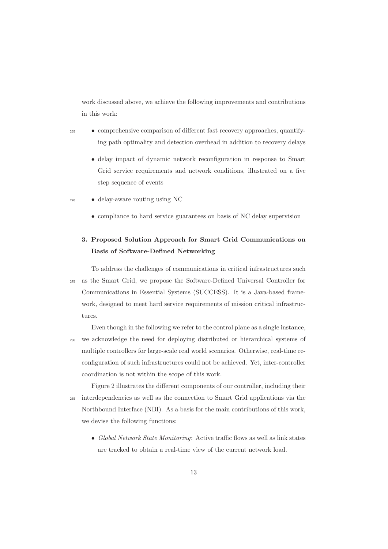work discussed above, we achieve the following improvements and contributions in this work:

- <sup>265</sup> comprehensive comparison of different fast recovery approaches, quantifying path optimality and detection overhead in addition to recovery delays
	- delay impact of dynamic network reconfiguration in response to Smart Grid service requirements and network conditions, illustrated on a five step sequence of events
- <sup>270</sup> delay-aware routing using NC
	- compliance to hard service guarantees on basis of NC delay supervision

# **3. Proposed Solution Approach for Smart Grid Communications on Basis of Software-Defined Networking**

To address the challenges of communications in critical infrastructures such <sup>275</sup> as the Smart Grid, we propose the Software-Defined Universal Controller for Communications in Essential Systems (SUCCESS). It is a Java-based framework, designed to meet hard service requirements of mission critical infrastructures.

Even though in the following we refer to the control plane as a single instance, <sup>280</sup> we acknowledge the need for deploying distributed or hierarchical systems of multiple controllers for large-scale real world scenarios. Otherwise, real-time reconfiguration of such infrastructures could not be achieved. Yet, inter-controller coordination is not within the scope of this work.

Figure 2 illustrates the different components of our controller, including their <sup>285</sup> interdependencies as well as the connection to Smart Grid applications via the Northbound Interface (NBI). As a basis for the main contributions of this work, we devise the following functions:

• Global Network State Monitoring: Active traffic flows as well as link states are tracked to obtain a real-time view of the current network load.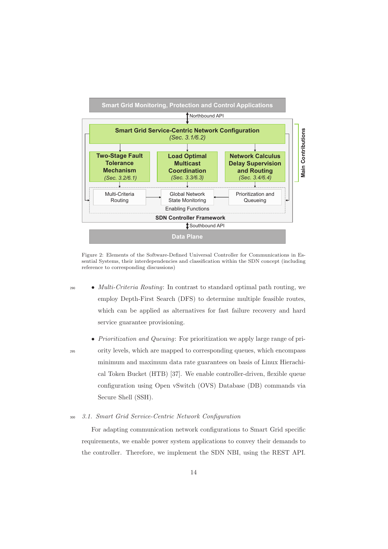

Figure 2: Elements of the Software-Defined Universal Controller for Communications in Essential Systems, their interdependencies and classification within the SDN concept (including reference to corresponding discussions)

- $\bullet$  *Multi-Criteria Routing*: In contrast to standard optimal path routing, we employ Depth-First Search (DFS) to determine multiple feasible routes, which can be applied as alternatives for fast failure recovery and hard service guarantee provisioning.
- 
- Prioritization and Queuing: For prioritization we apply large range of pri-<sup>295</sup> ority levels, which are mapped to corresponding queues, which encompass minimum and maximum data rate guarantees on basis of Linux Hierachical Token Bucket (HTB) [37]. We enable controller-driven, flexible queue configuration using Open vSwitch (OVS) Database (DB) commands via Secure Shell (SSH).
- <sup>300</sup> 3.1. Smart Grid Service-Centric Network Configuration

For adapting communication network configurations to Smart Grid specific requirements, we enable power system applications to convey their demands to the controller. Therefore, we implement the SDN NBI, using the REST API.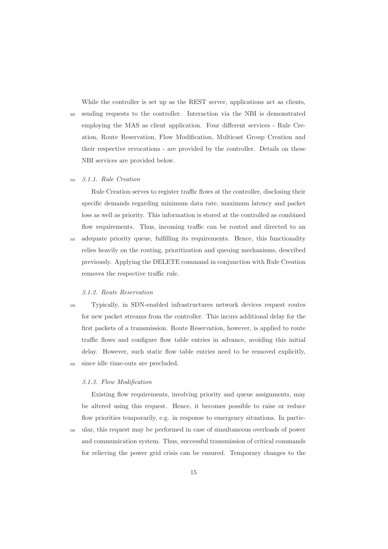While the controller is set up as the REST server, applications act as clients, <sup>305</sup> sending requests to the controller. Interaction via the NBI is demonstrated employing the MAS as client application. Four different services - Rule Creation, Route Reservation, Flow Modification, Multicast Group Creation and their respective revocations - are provided by the controller. Details on these NBI services are provided below.

# <sup>310</sup> 3.1.1. Rule Creation

Rule Creation serves to register traffic flows at the controller, disclosing their specific demands regarding minimum data rate, maximum latency and packet loss as well as priority. This information is stored at the controlled as combined flow requirements. Thus, incoming traffic can be routed and directed to an <sup>315</sup> adequate priority queue, fulfilling its requirements. Hence, this functionality relies heavily on the routing, prioritization and queuing mechanisms, described previously. Applying the DELETE command in conjunction with Rule Creation removes the respective traffic rule.

#### 3.1.2. Route Reservation

<sup>320</sup> Typically, in SDN-enabled infrastructures network devices request routes for new packet streams from the controller. This incurs additional delay for the first packets of a transmission. Route Reservation, however, is applied to route traffic flows and configure flow table entries in advance, avoiding this initial delay. However, such static flow table entries need to be removed explicitly, <sup>325</sup> since idle time-outs are precluded.

### 3.1.3. Flow Modification

Existing flow requirements, involving priority and queue assignments, may be altered using this request. Hence, it becomes possible to raise or reduce flow priorities temporarily, e.g. in response to emergency situations. In partic-

<sup>330</sup> ular, this request may be performed in case of simultaneous overloads of power and communication system. Thus, successful transmission of critical commands for relieving the power grid crisis can be ensured. Temporary changes to the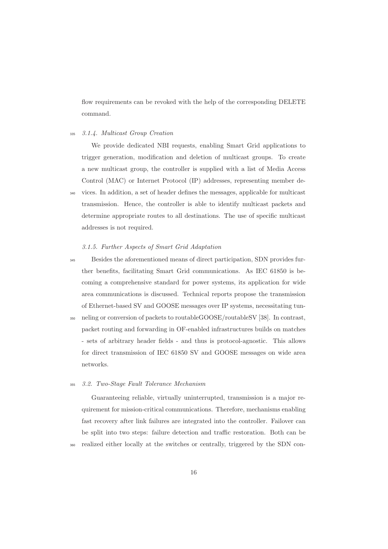flow requirements can be revoked with the help of the corresponding DELETE command.

### <sup>335</sup> 3.1.4. Multicast Group Creation

We provide dedicated NBI requests, enabling Smart Grid applications to trigger generation, modification and deletion of multicast groups. To create a new multicast group, the controller is supplied with a list of Media Access Control (MAC) or Internet Protocol (IP) addresses, representing member de-<sup>340</sup> vices. In addition, a set of header defines the messages, applicable for multicast transmission. Hence, the controller is able to identify multicast packets and determine appropriate routes to all destinations. The use of specific multicast addresses is not required.

# 3.1.5. Further Aspects of Smart Grid Adaptation

<sup>345</sup> Besides the aforementioned means of direct participation, SDN provides further benefits, facilitating Smart Grid communications. As IEC 61850 is becoming a comprehensive standard for power systems, its application for wide area communications is discussed. Technical reports propose the transmission of Ethernet-based SV and GOOSE messages over IP systems, necessitating tun-<sup>350</sup> neling or conversion of packets to routableGOOSE/routableSV [38]. In contrast, packet routing and forwarding in OF-enabled infrastructures builds on matches - sets of arbitrary header fields - and thus is protocol-agnostic. This allows for direct transmission of IEC 61850 SV and GOOSE messages on wide area

#### <sup>355</sup> 3.2. Two-Stage Fault Tolerance Mechanism

networks.

Guaranteeing reliable, virtually uninterrupted, transmission is a major requirement for mission-critical communications. Therefore, mechanisms enabling fast recovery after link failures are integrated into the controller. Failover can be split into two steps: failure detection and traffic restoration. Both can be <sup>360</sup> realized either locally at the switches or centrally, triggered by the SDN con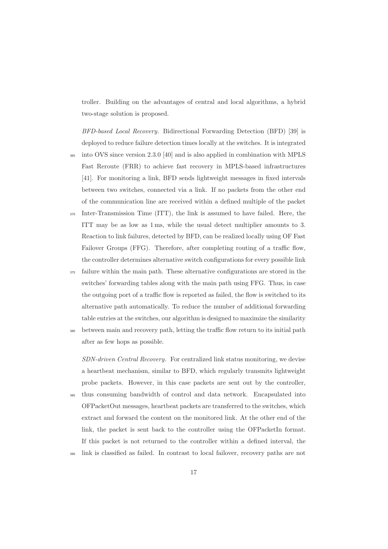troller. Building on the advantages of central and local algorithms, a hybrid two-stage solution is proposed.

BFD-based Local Recovery. Bidirectional Forwarding Detection (BFD) [39] is deployed to reduce failure detection times locally at the switches. It is integrated

- <sup>365</sup> into OVS since version 2.3.0 [40] and is also applied in combination with MPLS Fast Reroute (FRR) to achieve fast recovery in MPLS-based infrastructures [41]. For monitoring a link, BFD sends lightweight messages in fixed intervals between two switches, connected via a link. If no packets from the other end of the communication line are received within a defined multiple of the packet
- <sup>370</sup> Inter-Transmission Time (ITT), the link is assumed to have failed. Here, the ITT may be as low as 1 ms, while the usual detect multiplier amounts to 3. Reaction to link failures, detected by BFD, can be realized locally using OF Fast Failover Groups (FFG). Therefore, after completing routing of a traffic flow, the controller determines alternative switch configurations for every possible link
- <sup>375</sup> failure within the main path. These alternative configurations are stored in the switches' forwarding tables along with the main path using FFG. Thus, in case the outgoing port of a traffic flow is reported as failed, the flow is switched to its alternative path automatically. To reduce the number of additional forwarding table entries at the switches, our algorithm is designed to maximize the similarity
- <sup>380</sup> between main and recovery path, letting the traffic flow return to its initial path after as few hops as possible.

SDN-driven Central Recovery. For centralized link status monitoring, we devise a heartbeat mechanism, similar to BFD, which regularly transmits lightweight probe packets. However, in this case packets are sent out by the controller,

- <sup>385</sup> thus consuming bandwidth of control and data network. Encapsulated into OFPacketOut messages, heartbeat packets are transferred to the switches, which extract and forward the content on the monitored link. At the other end of the link, the packet is sent back to the controller using the OFPacketIn format. If this packet is not returned to the controller within a defined interval, the
- link is classified as failed. In contrast to local failover, recovery paths are not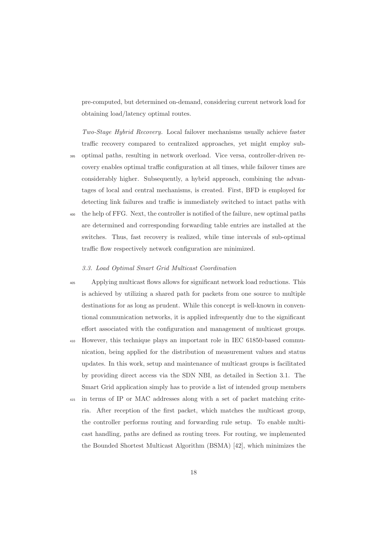pre-computed, but determined on-demand, considering current network load for obtaining load/latency optimal routes.

Two-Stage Hybrid Recovery. Local failover mechanisms usually achieve faster traffic recovery compared to centralized approaches, yet might employ sub-

- <sup>395</sup> optimal paths, resulting in network overload. Vice versa, controller-driven recovery enables optimal traffic configuration at all times, while failover times are considerably higher. Subsequently, a hybrid approach, combining the advantages of local and central mechanisms, is created. First, BFD is employed for detecting link failures and traffic is immediately switched to intact paths with
- <sup>400</sup> the help of FFG. Next, the controller is notified of the failure, new optimal paths are determined and corresponding forwarding table entries are installed at the switches. Thus, fast recovery is realized, while time intervals of sub-optimal traffic flow respectively network configuration are minimized.

#### 3.3. Load Optimal Smart Grid Multicast Coordination

- <sup>405</sup> Applying multicast flows allows for significant network load reductions. This is achieved by utilizing a shared path for packets from one source to multiple destinations for as long as prudent. While this concept is well-known in conventional communication networks, it is applied infrequently due to the significant effort associated with the configuration and management of multicast groups.
- <sup>410</sup> However, this technique plays an important role in IEC 61850-based communication, being applied for the distribution of measurement values and status updates. In this work, setup and maintenance of multicast groups is facilitated by providing direct access via the SDN NBI, as detailed in Section 3.1. The Smart Grid application simply has to provide a list of intended group members
- <sup>415</sup> in terms of IP or MAC addresses along with a set of packet matching criteria. After reception of the first packet, which matches the multicast group, the controller performs routing and forwarding rule setup. To enable multicast handling, paths are defined as routing trees. For routing, we implemented the Bounded Shortest Multicast Algorithm (BSMA) [42], which minimizes the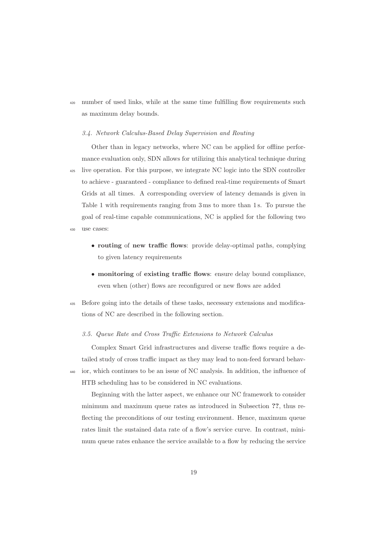<sup>420</sup> number of used links, while at the same time fulfilling flow requirements such as maximum delay bounds.

#### 3.4. Network Calculus-Based Delay Supervision and Routing

Other than in legacy networks, where NC can be applied for offline performance evaluation only, SDN allows for utilizing this analytical technique during <sup>425</sup> live operation. For this purpose, we integrate NC logic into the SDN controller to achieve - guaranteed - compliance to defined real-time requirements of Smart Grids at all times. A corresponding overview of latency demands is given in Table 1 with requirements ranging from 3 ms to more than 1 s. To pursue the goal of real-time capable communications, NC is applied for the following two <sup>430</sup> use cases:

- **routing** of **new traffic flows**: provide delay-optimal paths, complying to given latency requirements
- **monitoring** of **existing traffic flows**: ensure delay bound compliance, even when (other) flows are reconfigured or new flows are added
- <sup>435</sup> Before going into the details of these tasks, necessary extensions and modifications of NC are described in the following section.

# 3.5. Queue Rate and Cross Traffic Extensions to Network Calculus

Complex Smart Grid infrastructures and diverse traffic flows require a detailed study of cross traffic impact as they may lead to non-feed forward behav-<sup>440</sup> ior, which continues to be an issue of NC analysis. In addition, the influence of HTB scheduling has to be considered in NC evaluations.

Beginning with the latter aspect, we enhance our NC framework to consider minimum and maximum queue rates as introduced in Subsection **??**, thus reflecting the preconditions of our testing environment. Hence, maximum queue rates limit the sustained data rate of a flow's service curve. In contrast, minimum queue rates enhance the service available to a flow by reducing the service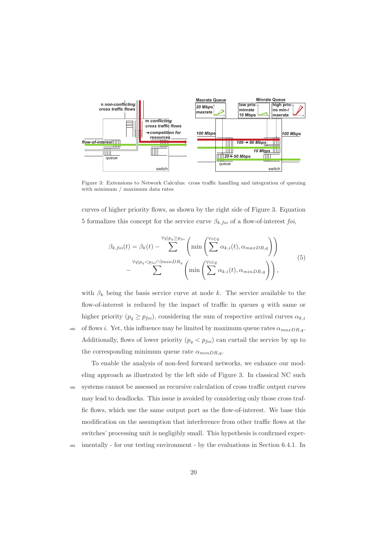

Figure 3: Extensions to Network Calculus: cross traffic handling and integration of queuing with minimum / maximum data rates

curves of higher priority flows, as shown by the right side of Figure 3. Equation 5 formalizes this concept for the service curve  $\beta_{k,foi}$  of a flow-of-interest foi,

$$
\beta_{k,foi}(t) = \beta_k(t) - \sum_{\forall q | p_q < p_{foi} \cap \exists minDR_q}^{\forall q | p_q > p_{foi}} \left( \min \left( \sum_{i \in q}^{\forall i \in q} \alpha_{k,i}(t), \alpha_{maxDR,q} \right) \right) - \sum_{\forall q | p_q < p_{foi} \cap \exists minDR_q}^{\forall q | p_q < p_{foi} \cap \exists minDR_q} \left( \min \left( \sum_{i \in q} \alpha_{k,i}(t), \alpha_{minDR,q} \right) \right), \tag{5}
$$

with  $\beta_k$  being the basis service curve at node k. The service available to the flow-of-interest is reduced by the impact of traffic in queues  $q$  with same or higher priority  $(p_q \geq p_{foi})$ , considering the sum of respective arrival curves  $\alpha_{k,i}$ 445 of flows i. Yet, this influence may be limited by maximum queue rates  $\alpha_{maxDR,q}$ . Additionally, flows of lower priority  $(p_q < p_{foi})$  can curtail the service by up to the corresponding minimum queue rate  $\alpha_{minDR,q}$ .

To enable the analysis of non-feed forward networks, we enhance our modeling approach as illustrated by the left side of Figure 3. In classical NC such <sup>450</sup> systems cannot be assessed as recursive calculation of cross traffic output curves may lead to deadlocks. This issue is avoided by considering only those cross traffic flows, which use the same output port as the flow-of-interest. We base this modification on the assumption that interference from other traffic flows at the switches' processing unit is negligibly small. This hypothesis is confirmed exper-<sup>455</sup> imentally - for our testing environment - by the evaluations in Section 6.4.1. In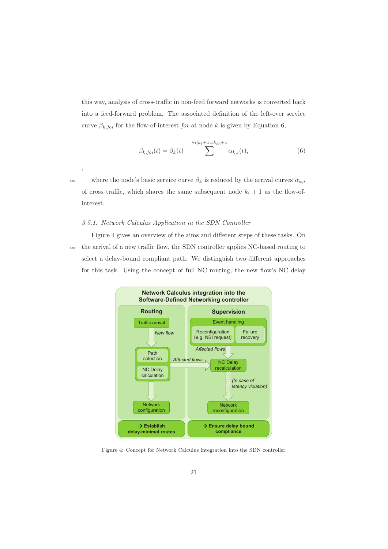this way, analysis of cross-traffic in non-feed forward networks is converted back into a feed-forward problem. The associated definition of the left-over service curve  $\beta_{k,foi}$  for the flow-of-interest *foi* at node k is given by Equation 6,

$$
\beta_{k,foi}(t) = \beta_k(t) - \sum_{k=1}^{\forall i \mid k_i + 1 = k_{foi} + 1} \alpha_{k,i}(t),\tag{6}
$$

,

where the node's basic service curve  $\beta_k$  is reduced by the arrival curves  $\alpha_{k,i}$ of cross traffic, which shares the same subsequent node  $k_i + 1$  as the flow-ofinterest.

#### 3.5.1. Network Calculus Application in the SDN Controller

Figure 4 gives an overview of the aims and different steps of these tasks. On <sup>465</sup> the arrival of a new traffic flow, the SDN controller applies NC-based routing to select a delay-bound compliant path. We distinguish two different approaches for this task. Using the concept of full NC routing, the new flow's NC delay



Figure 4: Concept for Network Calculus integration into the SDN controller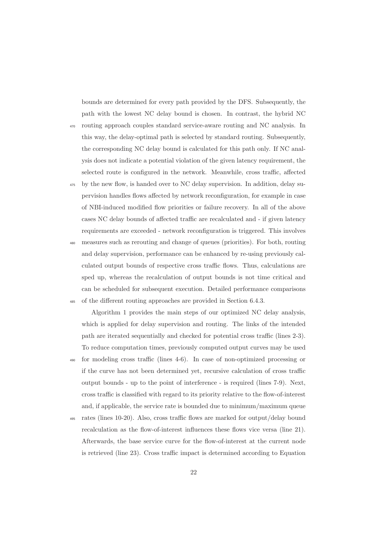bounds are determined for every path provided by the DFS. Subsequently, the path with the lowest NC delay bound is chosen. In contrast, the hybrid NC

- <sup>470</sup> routing approach couples standard service-aware routing and NC analysis. In this way, the delay-optimal path is selected by standard routing. Subsequently, the corresponding NC delay bound is calculated for this path only. If NC analysis does not indicate a potential violation of the given latency requirement, the selected route is configured in the network. Meanwhile, cross traffic, affected
- <sup>475</sup> by the new flow, is handed over to NC delay supervision. In addition, delay supervision handles flows affected by network reconfiguration, for example in case of NBI-induced modified flow priorities or failure recovery. In all of the above cases NC delay bounds of affected traffic are recalculated and - if given latency requirements are exceeded - network reconfiguration is triggered. This involves
- <sup>480</sup> measures such as rerouting and change of queues (priorities). For both, routing and delay supervision, performance can be enhanced by re-using previously calculated output bounds of respective cross traffic flows. Thus, calculations are sped up, whereas the recalculation of output bounds is not time critical and can be scheduled for subsequent execution. Detailed performance comparisons <sup>485</sup> of the different routing approaches are provided in Section 6.4.3.

Algorithm 1 provides the main steps of our optimized NC delay analysis, which is applied for delay supervision and routing. The links of the intended path are iterated sequentially and checked for potential cross traffic (lines 2-3). To reduce computation times, previously computed output curves may be used

- <sup>490</sup> for modeling cross traffic (lines 4-6). In case of non-optimized processing or if the curve has not been determined yet, recursive calculation of cross traffic output bounds - up to the point of interference - is required (lines 7-9). Next, cross traffic is classified with regard to its priority relative to the flow-of-interest and, if applicable, the service rate is bounded due to minimum/maximum queue
- <sup>495</sup> rates (lines 10-20). Also, cross traffic flows are marked for output/delay bound recalculation as the flow-of-interest influences these flows vice versa (line 21). Afterwards, the base service curve for the flow-of-interest at the current node is retrieved (line 23). Cross traffic impact is determined according to Equation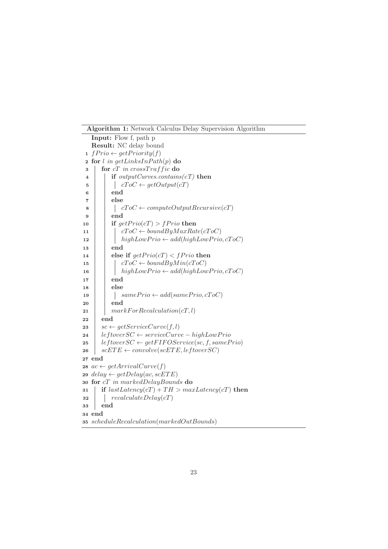**Algorithm 1:** Network Calculus Delay Supervision Algorithm

```
Input: Flow f, path p
   Result: NC delay bound
 1 fPriority(f)2 for l in getLinksInPath(p) do
 3 for cT in crossTraffic do
 4 if outputCurves.contains(cT) then
 5 \vert \vert cToC \leftarrow getOutput(cT)6 end
 7 else
 8 cToC ← computeOutputRecursive(cT)<br>9 end
            9 end
10 if getPrior(cT) > fPrior then
11 \begin{array}{|c|c|c|c|c|}\n\hline\n11 & \multicolumn{1}{|c|}{ifoc} \leftarrow boundByMaxRate(cToC) \nhiqhLowPrior & add(hiqhLowPrior)\n\hline\n\end{array}highLowPrior \leftarrow add(highLowPrior, cToC)13 end
14 else if getPrior(CT) < fPrior then
15 \vert \vert cToC \leftarrow boundByMin(cToC)16 \left| \begin{array}{c} \end{array} \right| highLowPrio \leftarrow add(highLowPrior, cToC)17 end
18 else
19 \begin{array}{|c|c|c|c|} \hline \end{array} samePrio ← add(samePrio, cToC)<br>20 end
            20 end
21 \parallel markForRecalculation(cT, l)
22 end
23 \begin{array}{l} sc \leftarrow getServiceCurve(f, l) \\ \n24 \quad leftoverSC \leftarrow serviceCurv \end{array}24 leftoverSC ← serviceCurve – highLowPrio<br>
25 leftoverSC ← qetFIFOService(sc. f. sameP
25 leftover SC \leftarrow getFIFOService(sc, f, samePrio)<br>
26 scETE \leftarrow convolve(scETE, leftover SC)\textit{scETE} \leftarrow \textit{convolve}(\textit{scETE}, \textit{leftoverSC})27 end
28 ac \leftarrow getArrivalCurve(f)29 delay \leftarrow getDelay(ac, scETE)
30 for cT in markedDelayBounds do
31 if lastLatency(cT) + TH > maxLatency(cT) then
32 recalculateDelay(cT)
33 end
34 end
35 scheduleRecalculation(markedOutBounds)
```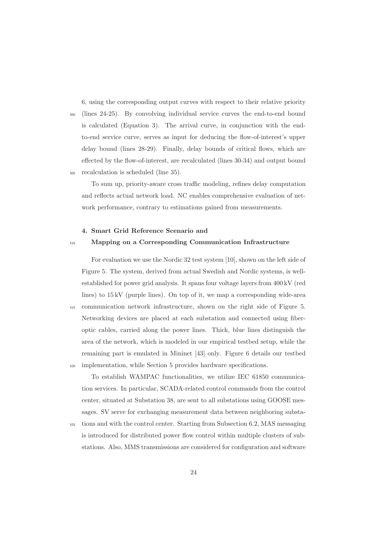6, using the corresponding output curves with respect to their relative priority

<sup>500</sup> (lines 24-25). By convolving individual service curves the end-to-end bound is calculated (Equation 3). The arrival curve, in conjunction with the endto-end service curve, serves as input for deducing the flow-of-interest's upper delay bound (lines 28-29). Finally, delay bounds of critical flows, which are effected by the flow-of-interest, are recalculated (lines 30-34) and output bound <sup>505</sup> recalculation is scheduled (line 35).

To sum up, priority-aware cross traffic modeling, refines delay computation and reflects actual network load. NC enables comprehensive evaluation of network performance, contrary to estimations gained from measurements.

#### **4. Smart Grid Reference Scenario and**

# <sup>510</sup> **Mapping on a Corresponding Communication Infrastructure**

For evaluation we use the Nordic 32 test system [10], shown on the left side of Figure 5. The system, derived from actual Swedish and Nordic systems, is wellestablished for power grid analysis. It spans four voltage layers from 400 kV (red lines) to 15 kV (purple lines). On top of it, we map a corresponding wide-area <sup>515</sup> communication network infrastructure, shown on the right side of Figure 5. Networking devices are placed at each substation and connected using fiberoptic cables, carried along the power lines. Thick, blue lines distinguish the area of the network, which is modeled in our empirical testbed setup, while the remaining part is emulated in Mininet [43] only. Figure 6 details our testbed <sup>520</sup> implementation, while Section 5 provides hardware specifications.

To establish WAMPAC functionalities, we utilize IEC 61850 communication services. In particular, SCADA-related control commands from the control center, situated at Substation 38, are sent to all substations using GOOSE messages. SV serve for exchanging measurement data between neighboring substa-

<sup>525</sup> tions and with the control center. Starting from Subsection 6.2, MAS messaging is introduced for distributed power flow control within multiple clusters of substations. Also, MMS transmissions are considered for configuration and software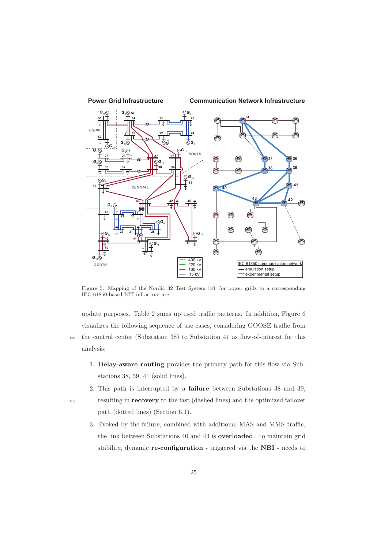

Figure 5: Mapping of the Nordic 32 Test System [10] for power grids to a corresponding IEC 61850-based ICT infrastructure

update purposes. Table 2 sums up used traffic patterns. In addition, Figure 6 visualizes the following sequence of use cases, considering GOOSE traffic from <sup>530</sup> the control center (Substation 38) to Substation 41 as flow-of-interest for this analysis:

- 1. **Delay-aware routing** provides the primary path for this flow via Substations 38, 39, 41 (solid lines).
- 2. This path is interrupted by a **failure** between Substations 38 and 39,

- <sup>535</sup> resulting in **recovery** to the fast (dashed lines) and the optimized failover path (dotted lines) (Section 6.1).
	- 3. Evoked by the failure, combined with additional MAS and MMS traffic, the link between Substations 40 and 43 is **overloaded**. To maintain grid stability, dynamic **re-configuration** - triggered via the **NBI** - needs to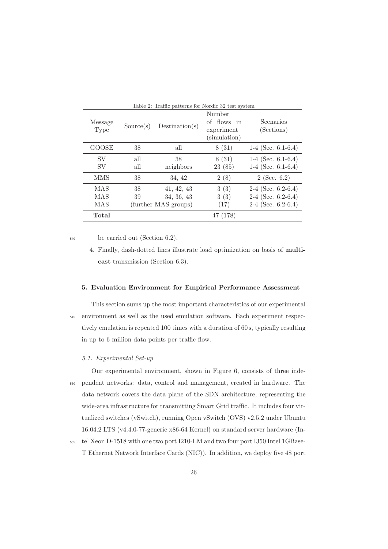| Table 2: Traffic patterns for Nordic 32 test system |            |                                                  |                                                     |                                                                      |  |  |  |  |  |
|-----------------------------------------------------|------------|--------------------------------------------------|-----------------------------------------------------|----------------------------------------------------------------------|--|--|--|--|--|
| Message<br>Type                                     | Source(s)  | Destination(s)                                   | Number<br>of flows in<br>experiment<br>(simulation) | Scenarios<br>(Sections)                                              |  |  |  |  |  |
| GOOSE                                               | 38         | all                                              | 8(31)                                               | $1-4$ (Sec. 6.1-6.4)                                                 |  |  |  |  |  |
| SV<br>SV                                            | all<br>all | 38<br>neighbors                                  | 8(31)<br>23(85)                                     | 1-4 (Sec. $6.1-6.4$ )<br>1-4 (Sec. $6.1-6.4$ )                       |  |  |  |  |  |
| <b>MMS</b>                                          | 38         | 34, 42                                           | 2(8)                                                | $2$ (Sec. 6.2)                                                       |  |  |  |  |  |
| MAS<br>MAS<br>MAS                                   | 38<br>39   | 41, 42, 43<br>34, 36, 43<br>(further MAS groups) | 3(3)<br>3(3)<br>(17)                                | $2-4$ (Sec. 6.2-6.4)<br>$2-4$ (Sec. 6.2-6.4)<br>$2-4$ (Sec. 6.2-6.4) |  |  |  |  |  |
| Total                                               |            |                                                  | (178)<br>47                                         |                                                                      |  |  |  |  |  |

<sup>540</sup> be carried out (Section 6.2).

# **5. Evaluation Environment for Empirical Performance Assessment**

This section sums up the most important characteristics of our experimental <sup>545</sup> environment as well as the used emulation software. Each experiment respectively emulation is repeated 100 times with a duration of 60 s, typically resulting in up to 6 million data points per traffic flow.

## 5.1. Experimental Set-up

Our experimental environment, shown in Figure 6, consists of three inde-<sup>550</sup> pendent networks: data, control and management, created in hardware. The data network covers the data plane of the SDN architecture, representing the wide-area infrastructure for transmitting Smart Grid traffic. It includes four virtualized switches (vSwitch), running Open vSwitch (OVS) v2.5.2 under Ubuntu 16.04.2 LTS (v4.4.0-77-generic x86-64 Kernel) on standard server hardware (In-

<sup>555</sup> tel Xeon D-1518 with one two port I210-LM and two four port I350 Intel 1GBase-T Ethernet Network Interface Cards (NIC)). In addition, we deploy five 48 port

<sup>4.</sup> Finally, dash-dotted lines illustrate load optimization on basis of **multicast** transmission (Section 6.3).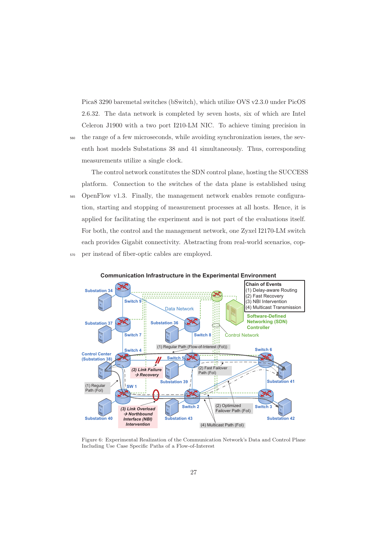Pica8 3290 baremetal switches (bSwitch), which utilize OVS v2.3.0 under PicOS 2.6.32. The data network is completed by seven hosts, six of which are Intel Celeron J1900 with a two port I210-LM NIC. To achieve timing precision in

<sup>560</sup> the range of a few microseconds, while avoiding synchronization issues, the seventh host models Substations 38 and 41 simultaneously. Thus, corresponding measurements utilize a single clock.

The control network constitutes the SDN control plane, hosting the SUCCESS platform. Connection to the switches of the data plane is established using <sup>565</sup> OpenFlow v1.3. Finally, the management network enables remote configuration, starting and stopping of measurement processes at all hosts. Hence, it is applied for facilitating the experiment and is not part of the evaluations itself. For both, the control and the management network, one Zyxel I2170-LM switch each provides Gigabit connectivity. Abstracting from real-world scenarios, cop-<sup>570</sup> per instead of fiber-optic cables are employed.



Figure 6: Experimental Realization of the Communication Network's Data and Control Plane Including Use Case Specific Paths of a Flow-of-Interest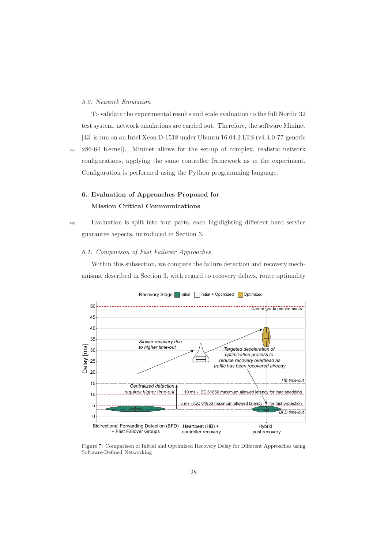## 5.2. Network Emulation

To validate the experimental results and scale evaluation to the full Nordic 32 test system, network emulations are carried out. Therefore, the software Mininet [43] is run on an Intel Xeon D-1518 under Ubuntu 16.04.2 LTS (v4.4.0-77-generic

<sup>575</sup> x86-64 Kernel). Mininet allows for the set-up of complex, realistic network configurations, applying the same controller framework as in the experiment. Configuration is performed using the Python programming language.

# **6. Evaluation of Approaches Proposed for Mission Critical Communications**

<sup>580</sup> Evaluation is split into four parts, each highlighting different hard service guarantee aspects, introduced in Section 3.

## 6.1. Comparison of Fast Failover Approaches

Within this subsection, we compare the failure detection and recovery mechanisms, described in Section 3, with regard to recovery delays, route optimality





Figure 7: Comparison of Initial and Optimized Recovery Delay for Different Approaches using Software-Defined Networking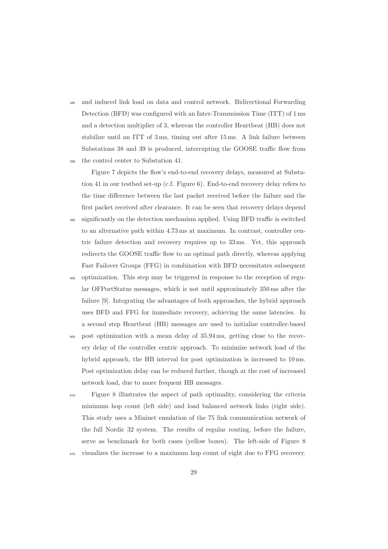<sup>585</sup> and induced link load on data and control network. Bidirectional Forwarding Detection (BFD) was configured with an Inter-Transmission Time (ITT) of 1 ms and a detection multiplier of 3, whereas the controller Heartbeat (HB) does not stabilize until an ITT of 3 ms, timing out after 15 ms. A link failure between Substations 38 and 39 is produced, interrupting the GOOSE traffic flow from <sup>590</sup> the control center to Substation 41.

Figure 7 depicts the flow's end-to-end recovery delays, measured at Substation 41 in our testbed set-up (c.f. Figure 6). End-to-end recovery delay refers to the time difference between the last packet received before the failure and the first packet received after clearance. It can be seen that recovery delays depend

- significantly on the detection mechanism applied. Using BFD traffic is switched to an alternative path within 4.73 ms at maximum. In contrast, controller centric failure detection and recovery requires up to 33 ms. Yet, this approach redirects the GOOSE traffic flow to an optimal path directly, whereas applying Fast Failover Groups (FFG) in combination with BFD necessitates subsequent
- <sup>600</sup> optimization. This step may be triggered in response to the reception of regular OFPortStatus messages, which is not until approximately 350 ms after the failure [9]. Integrating the advantages of both approaches, the hybrid approach uses BFD and FFG for immediate recovery, achieving the same latencies. In a second step Heartbeat (HB) messages are used to initialize controller-based
- <sup>605</sup> post optimization with a mean delay of 35.94 ms, getting close to the recovery delay of the controller centric approach. To minimize network load of the hybrid approach, the HB interval for post optimization is increased to 10 ms. Post optimization delay can be reduced further, though at the cost of increased network load, due to more frequent HB messages.
- <sup>610</sup> Figure 8 illustrates the aspect of path optimality, considering the criteria minimum hop count (left side) and load balanced network links (right side). This study uses a Mininet emulation of the 75 link communication network of the full Nordic 32 system. The results of regular routing, before the failure, serve as benchmark for both cases (yellow boxes). The left-side of Figure 8
- visualizes the increase to a maximum hop count of eight due to FFG recovery.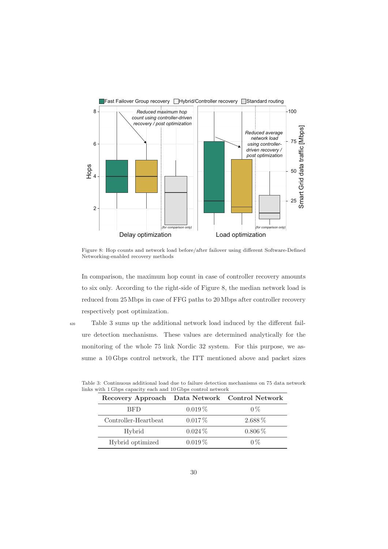

Figure 8: Hop counts and network load before/after failover using different Software-Defined Networking-enabled recovery methods

In comparison, the maximum hop count in case of controller recovery amounts to six only. According to the right-side of Figure 8, the median network load is reduced from 25 Mbps in case of FFG paths to 20 Mbps after controller recovery respectively post optimization.

<sup>620</sup> Table 3 sums up the additional network load induced by the different failure detection mechanisms. These values are determined analytically for the monitoring of the whole 75 link Nordic 32 system. For this purpose, we assume a 10 Gbps control network, the ITT mentioned above and packet sizes

| Recovery Approach Data Network Control Network |           |             |  |  |  |
|------------------------------------------------|-----------|-------------|--|--|--|
| <b>BFD</b>                                     | $0.019\%$ | $0\%$       |  |  |  |
| Controller-Heartbeat                           | $0.017\%$ | $2.688\%$   |  |  |  |
| Hybrid                                         | $0.024\%$ | $0.806\,\%$ |  |  |  |
| Hybrid optimized                               | $0.019\%$ | $0\%$       |  |  |  |

|  |  |  |  | Table 3: Continuous additional load due to failure detection mechanisms on 75 data network |  |  |  |  |
|--|--|--|--|--------------------------------------------------------------------------------------------|--|--|--|--|
|  |  |  |  | links with 1 Gbps capacity each and 10 Gbps control network                                |  |  |  |  |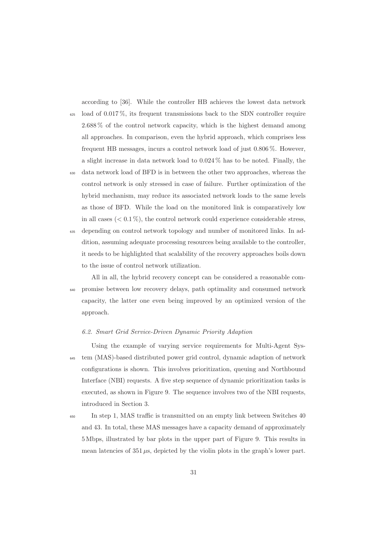according to [36]. While the controller HB achieves the lowest data network

- $625$  load of 0.017%, its frequent transmissions back to the SDN controller require 2.688 % of the control network capacity, which is the highest demand among all approaches. In comparison, even the hybrid approach, which comprises less frequent HB messages, incurs a control network load of just 0.806 %. However, a slight increase in data network load to 0.024 % has to be noted. Finally, the
- <sup>630</sup> data network load of BFD is in between the other two approaches, whereas the control network is only stressed in case of failure. Further optimization of the hybrid mechanism, may reduce its associated network loads to the same levels as those of BFD. While the load on the monitored link is comparatively low in all cases  $( $0.1\%$ ), the control network could experience considerable stress,$
- <sup>635</sup> depending on control network topology and number of monitored links. In addition, assuming adequate processing resources being available to the controller, it needs to be highlighted that scalability of the recovery approaches boils down to the issue of control network utilization.
- All in all, the hybrid recovery concept can be considered a reasonable com-<sup>640</sup> promise between low recovery delays, path optimality and consumed network capacity, the latter one even being improved by an optimized version of the approach.

## 6.2. Smart Grid Service-Driven Dynamic Priority Adaption

- Using the example of varying service requirements for Multi-Agent Sys-<sup>645</sup> tem (MAS)-based distributed power grid control, dynamic adaption of network configurations is shown. This involves prioritization, queuing and Northbound Interface (NBI) requests. A five step sequence of dynamic prioritization tasks is executed, as shown in Figure 9. The sequence involves two of the NBI requests, introduced in Section 3.
- <sup>650</sup> In step 1, MAS traffic is transmitted on an empty link between Switches 40 and 43. In total, these MAS messages have a capacity demand of approximately 5 Mbps, illustrated by bar plots in the upper part of Figure 9. This results in mean latencies of  $351 \mu s$ , depicted by the violin plots in the graph's lower part.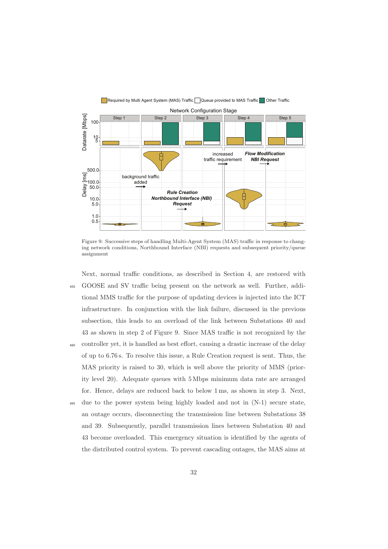

Figure 9: Successive steps of handling Multi-Agent System (MAS) traffic in response to changing network conditions, Northbound Interface (NBI) requests and subsequent priority/queue assignment

- Next, normal traffic conditions, as described in Section 4, are restored with <sup>655</sup> GOOSE and SV traffic being present on the network as well. Further, additional MMS traffic for the purpose of updating devices is injected into the ICT infrastructure. In conjunction with the link failure, discussed in the previous subsection, this leads to an overload of the link between Substations 40 and 43 as shown in step 2 of Figure 9. Since MAS traffic is not recognized by the <sup>660</sup> controller yet, it is handled as best effort, causing a drastic increase of the delay of up to 6.76 s. To resolve this issue, a Rule Creation request is sent. Thus, the MAS priority is raised to 30, which is well above the priority of MMS (priority level 20). Adequate queues with 5 Mbps minimum data rate are arranged for. Hence, delays are reduced back to below 1 ms, as shown in step 3. Next,
- <sup>665</sup> due to the power system being highly loaded and not in (N-1) secure state, an outage occurs, disconnecting the transmission line between Substations 38 and 39. Subsequently, parallel transmission lines between Substation 40 and 43 become overloaded. This emergency situation is identified by the agents of the distributed control system. To prevent cascading outages, the MAS aims at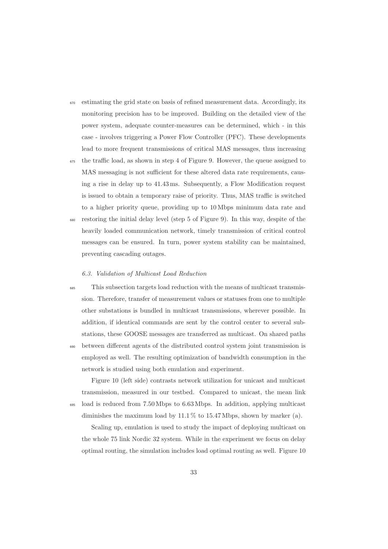- $\epsilon_{670}$  estimating the grid state on basis of refined measurement data. Accordingly, its monitoring precision has to be improved. Building on the detailed view of the power system, adequate counter-measures can be determined, which - in this case - involves triggering a Power Flow Controller (PFC). These developments lead to more frequent transmissions of critical MAS messages, thus increasing
- <sup>675</sup> the traffic load, as shown in step 4 of Figure 9. However, the queue assigned to MAS messaging is not sufficient for these altered data rate requirements, causing a rise in delay up to 41.43 ms. Subsequently, a Flow Modification request is issued to obtain a temporary raise of priority. Thus, MAS traffic is switched to a higher priority queue, providing up to 10 Mbps minimum data rate and
- restoring the initial delay level (step 5 of Figure 9). In this way, despite of the heavily loaded communication network, timely transmission of critical control messages can be ensured. In turn, power system stability can be maintained, preventing cascading outages.

### 6.3. Validation of Multicast Load Reduction

<sup>685</sup> This subsection targets load reduction with the means of multicast transmission. Therefore, transfer of measurement values or statuses from one to multiple other substations is bundled in multicast transmissions, wherever possible. In addition, if identical commands are sent by the control center to several substations, these GOOSE messages are transferred as multicast. On shared paths <sup>690</sup> between different agents of the distributed control system joint transmission is employed as well. The resulting optimization of bandwidth consumption in the

Figure 10 (left side) contrasts network utilization for unicast and multicast transmission, measured in our testbed. Compared to unicast, the mean link <sup>695</sup> load is reduced from 7.50 Mbps to 6.63 Mbps. In addition, applying multicast diminishes the maximum load by 11.1 % to 15.47 Mbps, shown by marker (a).

network is studied using both emulation and experiment.

Scaling up, emulation is used to study the impact of deploying multicast on the whole 75 link Nordic 32 system. While in the experiment we focus on delay optimal routing, the simulation includes load optimal routing as well. Figure 10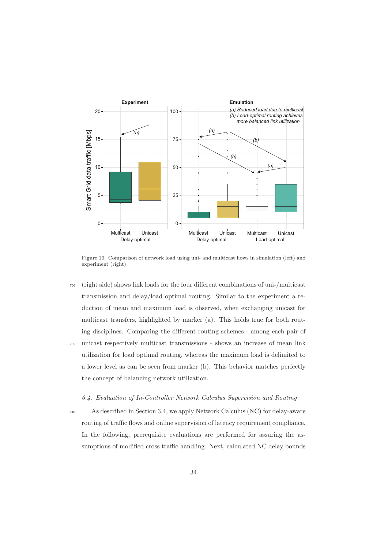

Figure 10: Comparison of network load using uni- and multicast flows in simulation (left) and experiment (right)

<sup>700</sup> (right side) shows link loads for the four different combinations of uni-/multicast transmission and delay/load optimal routing. Similar to the experiment a reduction of mean and maximum load is observed, when exchanging unicast for multicast transfers, highlighted by marker (a). This holds true for both routing disciplines. Comparing the different routing schemes - among each pair of <sup>705</sup> unicast respectively multicast transmissions - shows an increase of mean link utilization for load optimal routing, whereas the maximum load is delimited to a lower level as can be seen from marker (b). This behavior matches perfectly the concept of balancing network utilization.

# 6.4. Evaluation of In-Controller Network Calculus Supervision and Routing

<sup>710</sup> As described in Section 3.4, we apply Network Calculus (NC) for delay-aware routing of traffic flows and online supervision of latency requirement compliance. In the following, prerequisite evaluations are performed for assuring the assumptions of modified cross traffic handling. Next, calculated NC delay bounds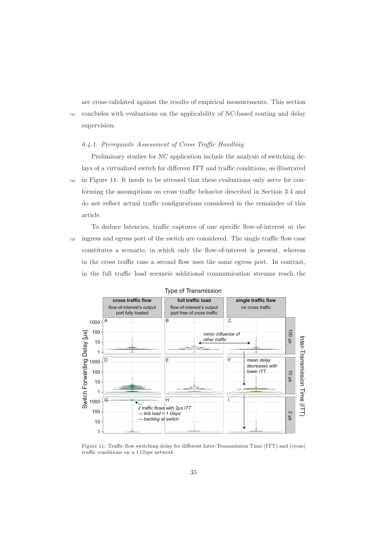are cross-validated against the results of empirical measurements. This section <sup>715</sup> concludes with evaluations on the applicability of NC-based routing and delay supervision.

### 6.4.1. Prerequisite Assessment of Cross Traffic Handling

Preliminary studies for NC application include the analysis of switching delays of a virtualized switch for different ITT and traffic conditions, as illustrated <sup>720</sup> in Figure 11. It needs to be stressed that these evaluations only serve for conforming the assumptions on cross traffic behavior described in Section 3.4 and do not reflect actual traffic configurations considered in the remainder of this article.

To deduce latencies, traffic captures of one specific flow-of-interest at the <sup>725</sup> ingress and egress port of the switch are considered. The single traffic flow case constitutes a scenario, in which only the flow-of-interest is present, whereas in the cross traffic case a second flow uses the same egress port. In contrast, in the full traffic load scenario additional communication streams reach the



Figure 11: Traffic flow switching delay for different Inter-Transmission Time (ITT) and (cross) traffic conditions on a 1 Gbps network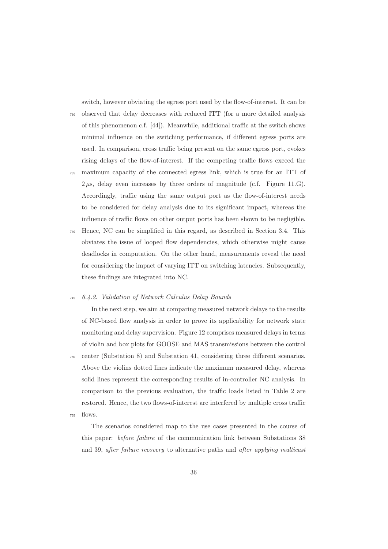switch, however obviating the egress port used by the flow-of-interest. It can be

- <sup>730</sup> observed that delay decreases with reduced ITT (for a more detailed analysis of this phenomenon c.f. [44]). Meanwhile, additional traffic at the switch shows minimal influence on the switching performance, if different egress ports are used. In comparison, cross traffic being present on the same egress port, evokes rising delays of the flow-of-interest. If the competing traffic flows exceed the <sup>735</sup> maximum capacity of the connected egress link, which is true for an ITT of  $2 \mu s$ , delay even increases by three orders of magnitude (c.f. Figure 11.G). Accordingly, traffic using the same output port as the flow-of-interest needs to be considered for delay analysis due to its significant impact, whereas the
- <sup>740</sup> Hence, NC can be simplified in this regard, as described in Section 3.4. This obviates the issue of looped flow dependencies, which otherwise might cause deadlocks in computation. On the other hand, measurements reveal the need for considering the impact of varying ITT on switching latencies. Subsequently, these findings are integrated into NC.

influence of traffic flows on other output ports has been shown to be negligible.

#### <sup>745</sup> 6.4.2. Validation of Network Calculus Delay Bounds

In the next step, we aim at comparing measured network delays to the results of NC-based flow analysis in order to prove its applicability for network state monitoring and delay supervision. Figure 12 comprises measured delays in terms of violin and box plots for GOOSE and MAS transmissions between the control <sup>750</sup> center (Substation 8) and Substation 41, considering three different scenarios. Above the violins dotted lines indicate the maximum measured delay, whereas solid lines represent the corresponding results of in-controller NC analysis. In comparison to the previous evaluation, the traffic loads listed in Table 2 are restored. Hence, the two flows-of-interest are interfered by multiple cross traffic <sup>755</sup> flows.

The scenarios considered map to the use cases presented in the course of this paper: before failure of the communication link between Substations 38 and 39, after failure recovery to alternative paths and after applying multicast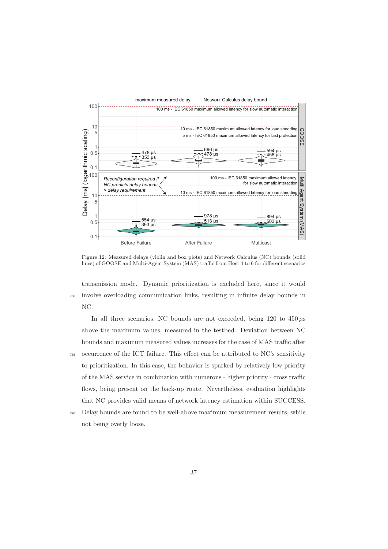

Figure 12: Measured delays (violin and box plots) and Network Calculus (NC) bounds (solid lines) of GOOSE and Multi-Agent System (MAS) traffic from Host 4 to 6 for different scenarios

transmission mode. Dynamic prioritization is excluded here, since it would <sup>760</sup> involve overloading communication links, resulting in infinite delay bounds in NC.

In all three scenarios, NC bounds are not exceeded, being  $120$  to  $450 \mu s$ above the maximum values, measured in the testbed. Deviation between NC bounds and maximum measured values increases for the case of MAS traffic after <sup>765</sup> occurrence of the ICT failure. This effect can be attributed to NC's sensitivity to prioritization. In this case, the behavior is sparked by relatively low priority of the MAS service in combination with numerous - higher priority - cross traffic flows, being present on the back-up route. Nevertheless, evaluation highlights that NC provides valid means of network latency estimation within SUCCESS.

<sup>770</sup> Delay bounds are found to be well-above maximum measurement results, while not being overly loose.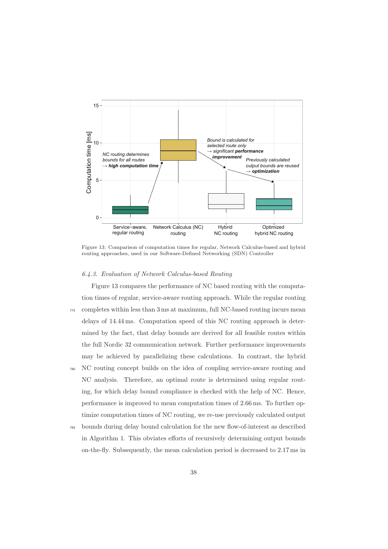

Figure 13: Comparison of computation times for regular, Network Calculus-based and hybrid routing approaches, used in our Software-Defined Networking (SDN) Controller

## 6.4.3. Evaluation of Network Calculus-based Routing

Figure 13 compares the performance of NC based routing with the computation times of regular, service-aware routing approach. While the regular routing <sup>775</sup> completes within less than 3 ms at maximum, full NC-based routing incurs mean delays of 14.44 ms. Computation speed of this NC routing approach is determined by the fact, that delay bounds are derived for all feasible routes within the full Nordic 32 communication network. Further performance improvements may be achieved by parallelizing these calculations. In contrast, the hybrid

- <sup>780</sup> NC routing concept builds on the idea of coupling service-aware routing and NC analysis. Therefore, an optimal route is determined using regular routing, for which delay bound compliance is checked with the help of NC. Hence, performance is improved to mean computation times of 2.66 ms. To further optimize computation times of NC routing, we re-use previously calculated output
- <sup>785</sup> bounds during delay bound calculation for the new flow-of-interest as described in Algorithm 1. This obviates efforts of recursively determining output bounds on-the-fly. Subsequently, the mean calculation period is decreased to 2.17 ms in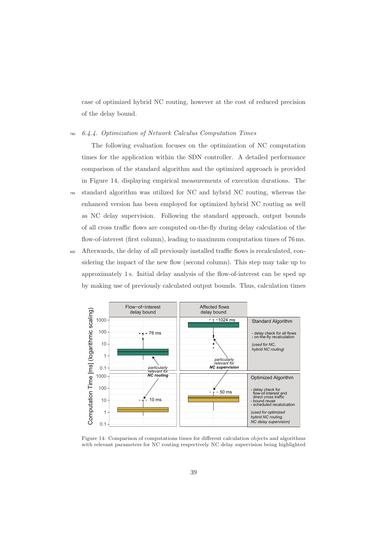case of optimized hybrid NC routing, however at the cost of reduced precision of the delay bound.

<sup>790</sup> 6.4.4. Optimization of Network Calculus Computation Times

The following evaluation focuses on the optimization of NC computation times for the application within the SDN controller. A detailed performance comparison of the standard algorithm and the optimized approach is provided in Figure 14, displaying empirical measurements of execution durations. The <sup>795</sup> standard algorithm was utilized for NC and hybrid NC routing, whereas the enhanced version has been employed for optimized hybrid NC routing as well as NC delay supervision. Following the standard approach, output bounds of all cross traffic flows are computed on-the-fly during delay calculation of the flow-of-interest (first column), leading to maximum computation times of 76 ms. <sup>800</sup> Afterwards, the delay of all previously installed traffic flows is recalculated, considering the impact of the new flow (second column). This step may take up to approximately 1 s. Initial delay analysis of the flow-of-interest can be sped up



by making use of previously calculated output bounds. Thus, calculation times

Figure 14: Comparison of computations times for different calculation objects and algorithms with relevant parameters for NC routing respectively NC delay supervision being highlighted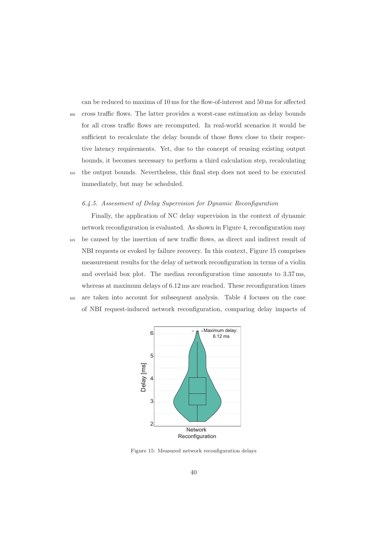can be reduced to maxima of 10 ms for the flow-of-interest and 50 ms for affected

<sup>805</sup> cross traffic flows. The latter provides a worst-case estimation as delay bounds for all cross traffic flows are recomputed. In real-world scenarios it would be sufficient to recalculate the delay bounds of those flows close to their respective latency requirements. Yet, due to the concept of reusing existing output bounds, it becomes necessary to perform a third calculation step, recalculating <sup>810</sup> the output bounds. Nevertheless, this final step does not need to be executed immediately, but may be scheduled.

## 6.4.5. Assessment of Delay Supervision for Dynamic Reconfiguration

Finally, the application of NC delay supervision in the context of dynamic network reconfiguration is evaluated. As shown in Figure 4, reconfiguration may <sup>815</sup> be caused by the insertion of new traffic flows, as direct and indirect result of NBI requests or evoked by failure recovery. In this context, Figure 15 comprises measurement results for the delay of network reconfiguration in terms of a violin and overlaid box plot. The median reconfiguration time amounts to 3.37 ms, whereas at maximum delays of 6.12 ms are reached. These reconfiguration times <sup>820</sup> are taken into account for subsequent analysis. Table 4 focuses on the case

of NBI request-induced network reconfiguration, comparing delay impacts of



Figure 15: Measured network reconfiguration delays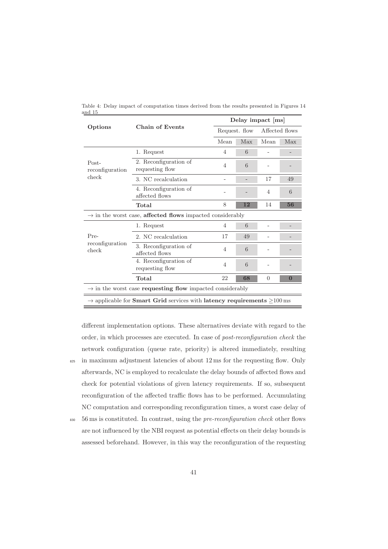|                                                                                                        |                                          | Delay impact [ms] |     |                |              |  |  |  |  |
|--------------------------------------------------------------------------------------------------------|------------------------------------------|-------------------|-----|----------------|--------------|--|--|--|--|
| Options                                                                                                | <b>Chain of Events</b>                   | Request. flow     |     | Affected flows |              |  |  |  |  |
|                                                                                                        |                                          | Mean              | Max | Mean           | Max          |  |  |  |  |
|                                                                                                        | 1. Request                               | $\overline{4}$    | 6   |                |              |  |  |  |  |
| Post-<br>reconfiguration                                                                               | 2. Reconfiguration of<br>requesting flow | $\overline{4}$    | 6   |                |              |  |  |  |  |
| check                                                                                                  | 3. NC recalculation                      | 17                | 49  |                |              |  |  |  |  |
|                                                                                                        | 4. Reconfiguration of<br>affected flows  |                   |     | 4              | 6            |  |  |  |  |
|                                                                                                        | Total                                    | 8                 | 12  | 14             | 56           |  |  |  |  |
| $\rightarrow$ in the worst case, affected flows impacted considerably                                  |                                          |                   |     |                |              |  |  |  |  |
|                                                                                                        | 1. Request                               | $\overline{4}$    | 6   |                |              |  |  |  |  |
| Pre-                                                                                                   | 2. NC recalculation                      | 17                | 49  |                |              |  |  |  |  |
| reconfiguration<br>check                                                                               | 3. Reconfiguration of<br>affected flows  | $\overline{4}$    | 6   |                |              |  |  |  |  |
|                                                                                                        | 4. Reconfiguration of<br>requesting flow | $\overline{4}$    | 6   |                |              |  |  |  |  |
|                                                                                                        | Total                                    | 22                | 68  | $\Omega$       | $\mathbf{0}$ |  |  |  |  |
| $\rightarrow$ in the worst case <b>requesting flow</b> impacted considerably                           |                                          |                   |     |                |              |  |  |  |  |
| $\rightarrow$ applicable for <b>Smart Grid</b> services with <b>latency requirements</b> $\geq$ 100 ms |                                          |                   |     |                |              |  |  |  |  |

Table 4: Delay impact of computation times derived from the results presented in Figures 14 and 15

different implementation options. These alternatives deviate with regard to the order, in which processes are executed. In case of post-reconfiguration check the network configuration (queue rate, priority) is altered immediately, resulting 825 in maximum adjustment latencies of about 12 ms for the requesting flow. Only afterwards, NC is employed to recalculate the delay bounds of affected flows and check for potential violations of given latency requirements. If so, subsequent reconfiguration of the affected traffic flows has to be performed. Accumulating

 $830 - 56$  ms is constituted. In contrast, using the *pre-reconfiguration check* other flows are not influenced by the NBI request as potential effects on their delay bounds is assessed beforehand. However, in this way the reconfiguration of the requesting

NC computation and corresponding reconfiguration times, a worst case delay of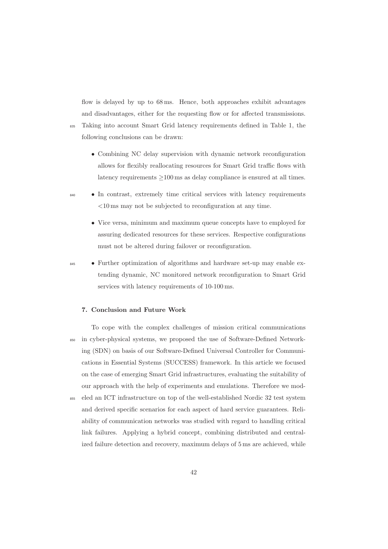flow is delayed by up to 68 ms. Hence, both approaches exhibit advantages and disadvantages, either for the requesting flow or for affected transmissions. <sup>835</sup> Taking into account Smart Grid latency requirements defined in Table 1, the following conclusions can be drawn:

- Combining NC delay supervision with dynamic network reconfiguration allows for flexibly reallocating resources for Smart Grid traffic flows with latency requirements ≥100 ms as delay compliance is ensured at all times.
- <sup>840</sup> In contrast, extremely time critical services with latency requirements <10 ms may not be subjected to reconfiguration at any time.
	- Vice versa, minimum and maximum queue concepts have to employed for assuring dedicated resources for these services. Respective configurations must not be altered during failover or reconfiguration.
- 

<sup>845</sup> • Further optimization of algorithms and hardware set-up may enable extending dynamic, NC monitored network reconfiguration to Smart Grid services with latency requirements of 10-100 ms.

## **7. Conclusion and Future Work**

To cope with the complex challenges of mission critical communications <sup>850</sup> in cyber-physical systems, we proposed the use of Software-Defined Networking (SDN) on basis of our Software-Defined Universal Controller for Communications in Essential Systems (SUCCESS) framework. In this article we focused on the case of emerging Smart Grid infrastructures, evaluating the suitability of our approach with the help of experiments and emulations. Therefore we mod-<sup>855</sup> eled an ICT infrastructure on top of the well-established Nordic 32 test system and derived specific scenarios for each aspect of hard service guarantees. Reliability of communication networks was studied with regard to handling critical link failures. Applying a hybrid concept, combining distributed and centralized failure detection and recovery, maximum delays of 5 ms are achieved, while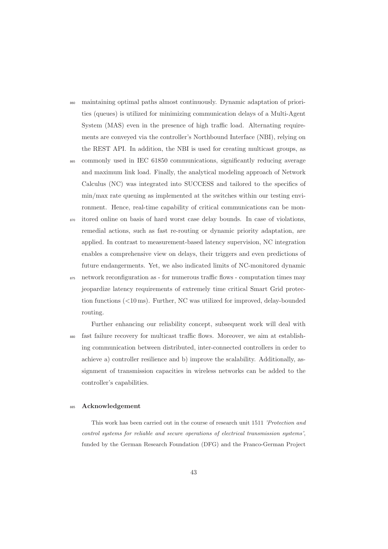- <sup>860</sup> maintaining optimal paths almost continuously. Dynamic adaptation of priorities (queues) is utilized for minimizing communication delays of a Multi-Agent System (MAS) even in the presence of high traffic load. Alternating requirements are conveyed via the controller's Northbound Interface (NBI), relying on the REST API. In addition, the NBI is used for creating multicast groups, as
- <sup>865</sup> commonly used in IEC 61850 communications, significantly reducing average and maximum link load. Finally, the analytical modeling approach of Network Calculus (NC) was integrated into SUCCESS and tailored to the specifics of min/max rate queuing as implemented at the switches within our testing environment. Hence, real-time capability of critical communications can be mon-
- <sup>870</sup> itored online on basis of hard worst case delay bounds. In case of violations, remedial actions, such as fast re-routing or dynamic priority adaptation, are applied. In contrast to measurement-based latency supervision, NC integration enables a comprehensive view on delays, their triggers and even predictions of future endangerments. Yet, we also indicated limits of NC-monitored dynamic
- <sup>875</sup> network reconfiguration as for numerous traffic flows computation times may jeopardize latency requirements of extremely time critical Smart Grid protection functions (<10 ms). Further, NC was utilized for improved, delay-bounded routing.

Further enhancing our reliability concept, subsequent work will deal with <sup>880</sup> fast failure recovery for multicast traffic flows. Moreover, we aim at establishing communication between distributed, inter-connected controllers in order to achieve a) controller resilience and b) improve the scalability. Additionally, assignment of transmission capacities in wireless networks can be added to the controller's capabilities.

#### <sup>885</sup> **Acknowledgement**

This work has been carried out in the course of research unit 1511 'Protection and control systems for reliable and secure operations of electrical transmission systems', funded by the German Research Foundation (DFG) and the Franco-German Project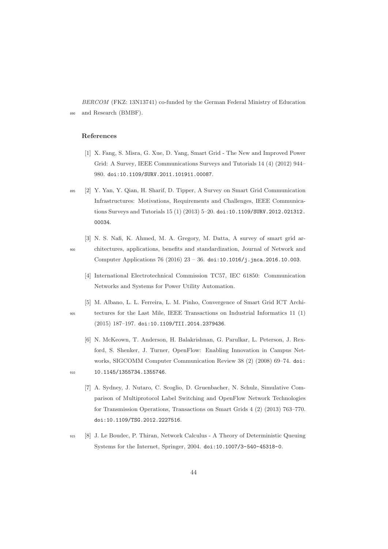BERCOM (FKZ: 13N13741) co-funded by the German Federal Ministry of Education <sup>890</sup> and Research (BMBF).

### **References**

- [1] X. Fang, S. Misra, G. Xue, D. Yang, Smart Grid The New and Improved Power Grid: A Survey, IEEE Communications Surveys and Tutorials 14 (4) (2012) 944– 980. doi:10.1109/SURV.2011.101911.00087.
- <sup>895</sup> [2] Y. Yan, Y. Qian, H. Sharif, D. Tipper, A Survey on Smart Grid Communication Infrastructures: Motivations, Requirements and Challenges, IEEE Communications Surveys and Tutorials 15 (1) (2013) 5–20. doi:10.1109/SURV.2012.021312. 00034.
- [3] N. S. Nafi, K. Ahmed, M. A. Gregory, M. Datta, A survey of smart grid ar-<sup>900</sup> chitectures, applications, benefits and standardization, Journal of Network and Computer Applications 76 (2016)  $23 - 36$ . doi:10.1016/j.jnca.2016.10.003.
	- [4] International Electrotechnical Commission TC57, IEC 61850: Communication Networks and Systems for Power Utility Automation.
- [5] M. Albano, L. L. Ferreira, L. M. Pinho, Convergence of Smart Grid ICT Archi-<sup>905</sup> tectures for the Last Mile, IEEE Transactions on Industrial Informatics 11 (1) (2015) 187–197. doi:10.1109/TII.2014.2379436.
- [6] N. McKeown, T. Anderson, H. Balakrishnan, G. Parulkar, L. Peterson, J. Rexford, S. Shenker, J. Turner, OpenFlow: Enabling Innovation in Campus Networks, SIGCOMM Computer Communication Review 38 (2) (2008) 69–74. doi: 910 10.1145/1355734.1355746.
	- [7] A. Sydney, J. Nutaro, C. Scoglio, D. Gruenbacher, N. Schulz, Simulative Comparison of Multiprotocol Label Switching and OpenFlow Network Technologies for Transmission Operations, Transactions on Smart Grids 4 (2) (2013) 763–770. doi:10.1109/TSG.2012.2227516.
- <sup>915</sup> [8] J. Le Boudec, P. Thiran, Network Calculus A Theory of Deterministic Queuing Systems for the Internet, Springer, 2004. doi:10.1007/3-540-45318-0.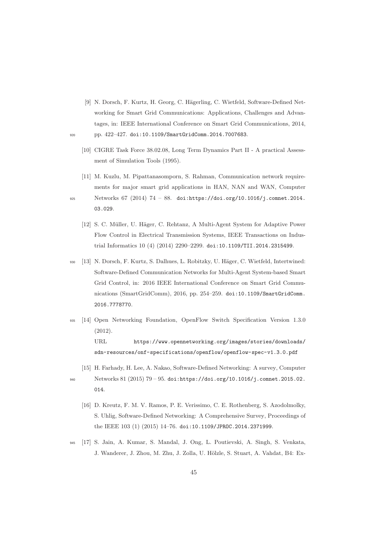- [9] N. Dorsch, F. Kurtz, H. Georg, C. Hägerling, C. Wietfeld, Software-Defined Networking for Smart Grid Communications: Applications, Challenges and Advantages, in: IEEE International Conference on Smart Grid Communications, 2014, <sup>920</sup> pp. 422–427. doi:10.1109/SmartGridComm.2014.7007683.
	- [10] CIGRE Task Force 38.02.08, Long Term Dynamics Part II A practical Assessment of Simulation Tools (1995).
	- [11] M. Kuzlu, M. Pipattanasomporn, S. Rahman, Communication network requirements for major smart grid applications in HAN, NAN and WAN, Computer

<sup>925</sup> Networks 67 (2014) 74 – 88. doi:https://doi.org/10.1016/j.comnet.2014. 03.029.

- [12] S. C. Müller, U. Häger, C. Rehtanz, A Multi-Agent System for Adaptive Power Flow Control in Electrical Transmission Systems, IEEE Transactions on Industrial Informatics 10 (4) (2014) 2290–2299. doi:10.1109/TII.2014.2315499.
- 930 [13] N. Dorsch, F. Kurtz, S. Dalhues, L. Robitzky, U. Häger, C. Wietfeld, Intertwined: Software-Defined Communication Networks for Multi-Agent System-based Smart Grid Control, in: 2016 IEEE International Conference on Smart Grid Communications (SmartGridComm), 2016, pp. 254–259. doi:10.1109/SmartGridComm. 2016.7778770.
- <sup>935</sup> [14] Open Networking Foundation, OpenFlow Switch Specification Version 1.3.0 (2012). URL https://www.opennetworking.org/images/stories/downloads/ sdn-resources/onf-specifications/openflow/openflow-spec-v1.3.0.pdf
	- [15] H. Farhady, H. Lee, A. Nakao, Software-Defined Networking: A survey, Computer

- <sup>940</sup> Networks 81 (2015) 79 95. doi:https://doi.org/10.1016/j.comnet.2015.02. 014.
	- [16] D. Kreutz, F. M. V. Ramos, P. E. Verissimo, C. E. Rothenberg, S. Azodolmolky, S. Uhlig, Software-Defined Networking: A Comprehensive Survey, Proceedings of the IEEE 103 (1) (2015) 14–76. doi:10.1109/JPROC.2014.2371999.
- <sup>945</sup> [17] S. Jain, A. Kumar, S. Mandal, J. Ong, L. Poutievski, A. Singh, S. Venkata, J. Wanderer, J. Zhou, M. Zhu, J. Zolla, U. Hölzle, S. Stuart, A. Vahdat, B4: Ex-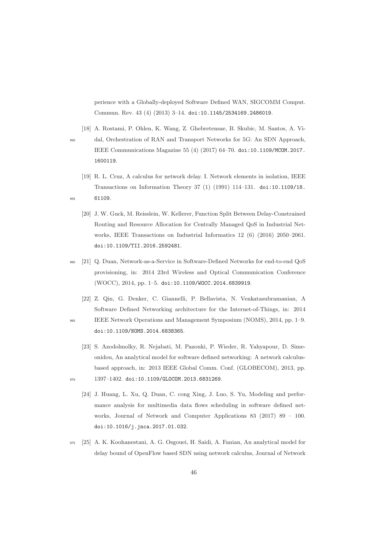perience with a Globally-deployed Software Defined WAN, SIGCOMM Comput. Commun. Rev. 43 (4) (2013) 3–14. doi:10.1145/2534169.2486019.

[18] A. Rostami, P. Ohlen, K. Wang, Z. Ghebretensae, B. Skubic, M. Santos, A. Vi-<sup>950</sup> dal, Orchestration of RAN and Transport Networks for 5G: An SDN Approach, IEEE Communications Magazine 55 (4) (2017) 64–70. doi:10.1109/MCOM.2017. 1600119.

- [19] R. L. Cruz, A calculus for network delay. I. Network elements in isolation, IEEE Transactions on Information Theory 37 (1) (1991) 114–131. doi:10.1109/18. <sup>955</sup> 61109.
	- [20] J. W. Guck, M. Reisslein, W. Kellerer, Function Split Between Delay-Constrained Routing and Resource Allocation for Centrally Managed QoS in Industrial Networks, IEEE Transactions on Industrial Informatics 12 (6) (2016) 2050–2061. doi:10.1109/TII.2016.2592481.
- <sup>960</sup> [21] Q. Duan, Network-as-a-Service in Software-Defined Networks for end-to-end QoS provisioning, in: 2014 23rd Wireless and Optical Communication Conference (WOCC), 2014, pp. 1–5. doi:10.1109/WOCC.2014.6839919.
- [22] Z. Qin, G. Denker, C. Giannelli, P. Bellavista, N. Venkatasubramanian, A Software Defined Networking architecture for the Internet-of-Things, in: 2014 <sup>965</sup> IEEE Network Operations and Management Symposium (NOMS), 2014, pp. 1–9. doi:10.1109/NOMS.2014.6838365.
- [23] S. Azodolmolky, R. Nejabati, M. Pazouki, P. Wieder, R. Yahyapour, D. Simeonidou, An analytical model for software defined networking: A network calculusbased approach, in: 2013 IEEE Global Comm. Conf. (GLOBECOM), 2013, pp. 970 1397-1402. doi:10.1109/GLOCOM.2013.6831269.
	- [24] J. Huang, L. Xu, Q. Duan, C. cong Xing, J. Luo, S. Yu, Modeling and performance analysis for multimedia data flows scheduling in software defined networks, Journal of Network and Computer Applications 83 (2017) 89 – 100. doi:10.1016/j.jnca.2017.01.032.
- <sup>975</sup> [25] A. K. Koohanestani, A. G. Osgouei, H. Saidi, A. Fanian, An analytical model for delay bound of OpenFlow based SDN using network calculus, Journal of Network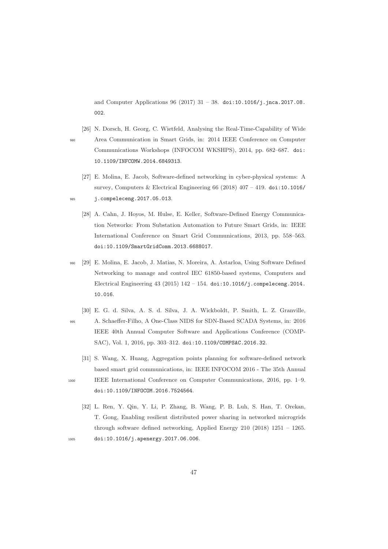and Computer Applications  $96 (2017) 31 - 38$ . doi:10.1016/j.jnca.2017.08. 002.

[26] N. Dorsch, H. Georg, C. Wietfeld, Analysing the Real-Time-Capability of Wide <sup>980</sup> Area Communication in Smart Grids, in: 2014 IEEE Conference on Computer Communications Workshops (INFOCOM WKSHPS), 2014, pp. 682–687. doi: 10.1109/INFCOMW.2014.6849313.

- [27] E. Molina, E. Jacob, Software-defined networking in cyber-physical systems: A survey, Computers & Electrical Engineering  $66$  (2018)  $407 - 419$ . doi:10.1016/ <sup>985</sup> j.compeleceng.2017.05.013.
	- [28] A. Cahn, J. Hoyos, M. Hulse, E. Keller, Software-Defined Energy Communication Networks: From Substation Automation to Future Smart Grids, in: IEEE International Conference on Smart Grid Communications, 2013, pp. 558–563. doi:10.1109/SmartGridComm.2013.6688017.
- <sup>990</sup> [29] E. Molina, E. Jacob, J. Matias, N. Moreira, A. Astarloa, Using Software Defined Networking to manage and control IEC 61850-based systems, Computers and Electrical Engineering  $43 (2015) 142 - 154$ . doi:10.1016/j.compeleceng.2014. 10.016.
- [30] E. G. d. Silva, A. S. d. Silva, J. A. Wickboldt, P. Smith, L. Z. Granville, <sup>995</sup> A. Schaeffer-Filho, A One-Class NIDS for SDN-Based SCADA Systems, in: 2016 IEEE 40th Annual Computer Software and Applications Conference (COMP-SAC), Vol. 1, 2016, pp. 303–312. doi:10.1109/COMPSAC.2016.32.
	- [31] S. Wang, X. Huang, Aggregation points planning for software-defined network based smart grid communications, in: IEEE INFOCOM 2016 - The 35th Annual
- 

<sup>1000</sup> IEEE International Conference on Computer Communications, 2016, pp. 1–9. doi:10.1109/INFOCOM.2016.7524564.

[32] L. Ren, Y. Qin, Y. Li, P. Zhang, B. Wang, P. B. Luh, S. Han, T. Orekan, T. Gong, Enabling resilient distributed power sharing in networked microgrids through software defined networking, Applied Energy 210 (2018) 1251 – 1265. <sup>1005</sup> doi:10.1016/j.apenergy.2017.06.006.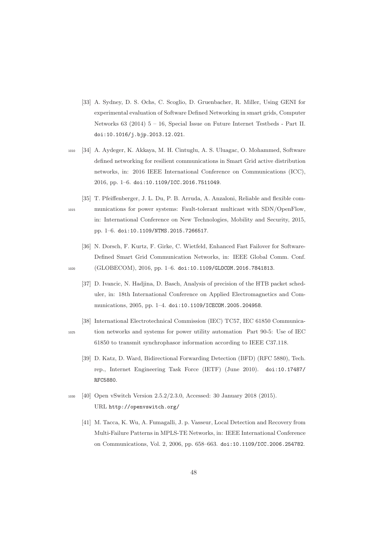- [33] A. Sydney, D. S. Ochs, C. Scoglio, D. Gruenbacher, R. Miller, Using GENI for experimental evaluation of Software Defined Networking in smart grids, Computer Networks 63 (2014) 5 – 16, Special Issue on Future Internet Testbeds - Part II. doi:10.1016/j.bjp.2013.12.021.
- <sup>1010</sup> [34] A. Aydeger, K. Akkaya, M. H. Cintuglu, A. S. Uluagac, O. Mohammed, Software defined networking for resilient communications in Smart Grid active distribution networks, in: 2016 IEEE International Conference on Communications (ICC), 2016, pp. 1–6. doi:10.1109/ICC.2016.7511049.
- [35] T. Pfeiffenberger, J. L. Du, P. B. Arruda, A. Anzaloni, Reliable and flexible com-<sup>1015</sup> munications for power systems: Fault-tolerant multicast with SDN/OpenFlow, in: International Conference on New Technologies, Mobility and Security, 2015, pp. 1–6. doi:10.1109/NTMS.2015.7266517.
- [36] N. Dorsch, F. Kurtz, F. Girke, C. Wietfeld, Enhanced Fast Failover for Software-Defined Smart Grid Communication Networks, in: IEEE Global Comm. Conf. 1020 (GLOBECOM), 2016, pp. 1-6. doi:10.1109/GLOCOM.2016.7841813.
	- [37] D. Ivancic, N. Hadjina, D. Basch, Analysis of precision of the HTB packet scheduler, in: 18th International Conference on Applied Electromagnetics and Communications, 2005, pp. 1–4. doi:10.1109/ICECOM.2005.204958.
- [38] International Electrotechnical Commission (IEC) TC57, IEC 61850 Communica-<sup>1025</sup> tion networks and systems for power utility automation Part 90-5: Use of IEC 61850 to transmit synchrophasor information according to IEEE C37.118.
	- [39] D. Katz, D. Ward, Bidirectional Forwarding Detection (BFD) (RFC 5880), Tech. rep., Internet Engineering Task Force (IETF) (June 2010). doi:10.17487/ RFC5880.
- <sup>1030</sup> [40] Open vSwitch Version 2.5.2/2.3.0, Accessed: 30 January 2018 (2015). URL http://openvswitch.org/
	- [41] M. Tacca, K. Wu, A. Fumagalli, J. p. Vasseur, Local Detection and Recovery from Multi-Failure Patterns in MPLS-TE Networks, in: IEEE International Conference on Communications, Vol. 2, 2006, pp. 658–663. doi:10.1109/ICC.2006.254782.